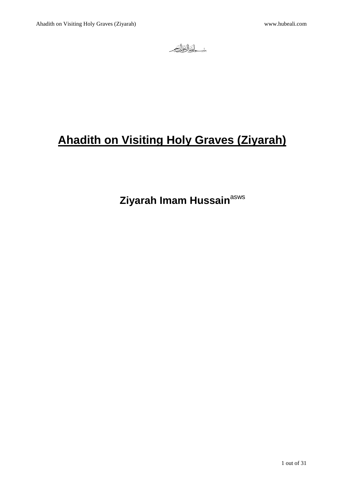بني اللوالوالي

# **Ahadith on Visiting Holy Graves (Ziyarah)**

**Ziyarah Imam Hussain<sup>asws</sup>**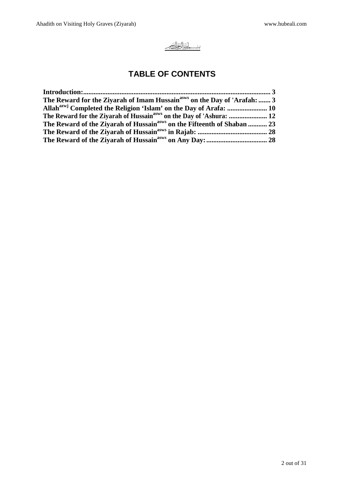

# **TABLE OF CONTENTS**

| The Reward for the Ziyarah of Imam Hussain <sup>asws</sup> on the Day of 'Arafah:  3 |  |
|--------------------------------------------------------------------------------------|--|
|                                                                                      |  |
| The Reward for the Zivarah of Hussain <sup>asws</sup> on the Day of 'Ashura:  12     |  |
| The Reward of the Ziyarah of Hussain <sup>asws</sup> on the Fifteenth of Shaban  23  |  |
|                                                                                      |  |
|                                                                                      |  |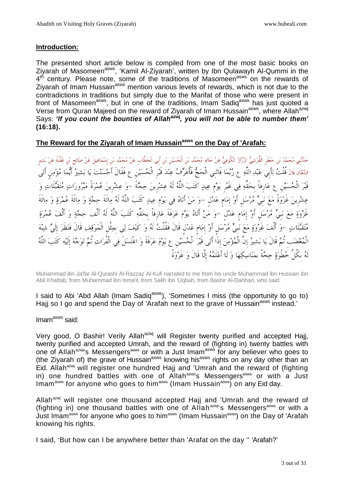#### **Introduction:**

The presented short article below is compiled from one of the most basic books on Ziyarah of Masomeen<sup>asws</sup>, 'Kamil Al-Ziyarah', written by Ibn Qulawayh Al-Qummi in the 4<sup>th</sup> century. Please note, some of the traditions of Masomeen<sup>asws</sup> on the rewards of Zivarah of Imam Hussain<sup>asws</sup> mention various levels of rewards, which is not due to the contradictions in traditions but simply due to the Marifat of those who were present in front of Masomeen<sup>asws</sup>, but in one of the traditions, Imam Sadiq<sup>asws</sup> has just quoted a Verse from Quran Majeed on the reward of Ziyarah of Imam Hussain<sup>asws</sup>, where Allah<sup>azwj</sup> Says: **'If you count the bounties of Allahazwj, you will not be able to number them' (16:18).** 

#### **The Reward for the Ziyarah of Imam Hussainasws on the Day of 'Arafah:**

حَدَّنْني مُحَمَّدُ بْن حَعْفَرِ الْقُرَشِيُّ الرَّزَازُ الْكُوفِيُّ عَنْ خَالِهِ مُحَمَّدِ بْنِ الْحُسَيْنِ بْنِ أبي الْخطَّابِ عَنْ مُحَمَّدِ بْنِ إسْمَاعِيلَ عَنْ صَالِحٍ بْنِ عُقْبَةَ عَنْ بَشِيرِ الدَّهَانِ قَالَ قُلْتُ لِأَبِي عَبْدِ اللَّهِ ع رُبَّمَا فَاتَنِي الْحَجُّ فَأُعَرِّفُ عِنْدَ قَبْرِ الْحُسَيْنِ عِ فَقَالَ أَحْسَنْتَ يَا بَشِيرُ أَيُّمَا مُؤْمِن أَتَى قَبَر الْحُسَيْنِ عِ عَارِفاً بِحَقِّهِ فِي غَيْرِ يَوْمٍ عِيدٍ كَتَبَ اللَّهُ لَهُ عِشْرِينَ حِجَّةً –وَ عِشْرِينَ عُمْرَةً مَبْرُورَاتٍ مُتَقَبَّلَاتٍ وَ عِشْرِينَ غَزْوَةً مَعَ نَبِيٍّ مُرْسَلٍ أَوْ إِمَامٍ عَدْلٍ –وَ مَنْ أَتاهُ فِي يَوْمٍ عِيدٍ كَتَبَ اللَّهُ لَهُ مِائَةَ حِجَّةٍ وَ مِائَةَ عُمْرَةٍ وَ مِائَةَ غَزْوَةٍ مَعَ نَبِيٍّ مُرْسَلٍ أَوْ إِمَامٍ عَدْلٍ –وَ مَنْ أَتَاهُ يَوْمَ عَرَفَةَ عَارِفاً بِحَقِّهِ كَتَبَ اللَّهُ لَهُ أَلْفَ حِجَّةٍ وَ أَلْفَ عُمْرَةِ مُتَقَبَّلَاتٍ –وَ أَلْفَ غَزْوَةٍ مَعَ نَبِيٍّ مُرْسَلٍ أَوْ إِمَامٍ عَدْلٍ قَالَ فَقُلْتُ لَهُ وَ كَيْفَ لِي بِمِثْلِ الْمَوْقِفِ قَالَ فَنظَرَ إِلَيَّ شِبْهَ الْمغضبِ ثُم قَالَ يا بشير إِنَّ الْمؤمن إِذَا أَتى قَبر الْحسينِ ع يوم عرفَةَ و اغْتسلَ في الْفُرات ثُم توجه إِلَيه كَتب اللَّه لَه بِكُلِّ خطْوة حجةً بِمناسكها و لَا أَعلَمه إِلَّا قَالَ و غَزوةً

Muhammad ibn Ja'far Al-Qurashi Al-Razzaz Al-Kufi narrated to me from his uncle Muhammad ibn Hussain ibn Abil Khattab, from Muhammad ibn Isma'il, from Salih ibn 'Uqbah, from Bashir Al-Dahhan, who said:

I said to Abi 'Abd Allah (Imam Sadiq<sup>asws</sup>), 'Sometimes I miss (the opportunity to go to) Hajj so I go and spend the Day of 'Arafah next to the grave of Hussain<sup>asws</sup> instead.'

#### Imam<sup>asws</sup> said:

Very good, O Bashir! Verily Allah<sup>azwj</sup> will Register twenty purified and accepted Hajj, twenty purified and accepted Umrah, and the reward of (fighting in) twenty battles with one of Allah<sup>azwj</sup>'s Messengers<sup>asws</sup> or with a Just Imam<sup>asws</sup> for any believer who goes to the Ziyarah of) the grave of Hussain<sup>asws</sup> knowing his<sup>asws</sup> rights on any day other than an Eid. Allah<sup>azwj</sup> will register one hundred Hajj and 'Umrah and the reward of (fighting in) one hundred battles with one of Allah<sup>azwj</sup>'s Messengers<sup>asws</sup> or with a Just  $\text{Imam}^{\text{asws}}$  for anyone who goes to him<sup>asws</sup> (Imam Hussain<sup>asws</sup>) on any Eid day.

Allah<sup>azwj</sup> will register one thousand accepted Hajj and 'Umrah and the reward of (fighting in) one thousand battles with one of Allah<sup>azwj</sup>'s Messengers<sup>asws</sup> or with a Just Imam<sup>asws</sup> for anyone who goes to him<sup>asws</sup> (Imam Hussain<sup>asws</sup>) on the Day of 'Arafah knowing his rights.

I said, 'But how can I be anywhere better than 'Arafat on the day '' 'Arafah?'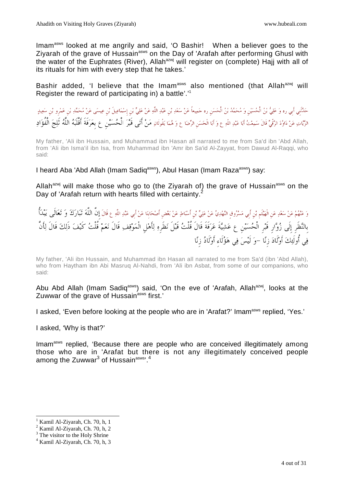Imamasws looked at me angrily and said, 'O Bashir! When a believer goes to the Ziyarah of the grave of Hussain<sup>asws</sup> on the Day of 'Arafah after performing Ghusl with the water of the Euphrates (River), Allah<sup>azwj</sup> will register on (complete) Hajj with all of its rituals for him with every step that he takes.'

Bashir added, 'I believe that the Imam<sup>asws</sup> also mentioned (that Allah<sup>azwj</sup> will Register the reward of participating in) a battle'.' 1

حَدَّنْني أبي ره وَ عَلِيُّ بْنُ الْحُسَيْنِ وَ مُحَمَّدُ بْنُ الْحَسَنِ ره حَمِيعاً عَنْ سَعْدِ بْن عَبْدِ اللَّهِ عَنْ عَلِيٍّ بْن إسْمَاعِيلَ بْن عِيسَى عَنْ مُحَمَّدِ بْن عَمْرو بْن سَعِيدٍ الزَّيَّاتِ عَنْ دَاوُدَ الرَّقِّيِّ قَالَ سَمِعْتُ أَبَا عَبْدِ اللَّهِ ع وَ أَبَا الْحَسَنِ الرِّضَا ع وَ هُمَا يَقُولَانِ مَنْ أَتَى قَبْرَ الْحُسَيْنِ ع بِعَرَفَةَ أَقْلَبَهُ اللَّهُ تَلِجَ الْفُؤَادِ

My father, 'Ali ibn Hussain, and Muhammad ibn Hasan all narrated to me from Sa'd ibn 'Abd Allah, from 'Ali ibn Isma'il ibn Isa, from Muhammad ibn 'Amr ibn Sa'id Al-Zayyat, from Dawud Al-Raqqi, who said:

# I heard Aba 'Abd Allah (Imam Sadiq<sup>asws</sup>), Abul Hasan (Imam Raza<sup>asws</sup>) say:

Allah<sup>azwj</sup> will make those who go to (the Ziyarah of) the grave of Hussain<sup>asws</sup> on the Day of 'Arafah return with hearts filled with certainty.<sup>2</sup>

وَ عَنْهُمْ عَنْ سَعْدٍ عَن الْهَيْتُم بْن أَبِي مَسْرُوق النَّهْدِيِّ عَنْ عَلِيٍّ بْن أَسْبَاطٍ عَنْ بَعْض أصْحَابنَا عَنْ أَبِي عَبْدِ اللَّهِ عِ قَالَ إِنَّ اللَّهَ تَبَارَكَ وَ تَعَالَى يَبْدَأُ بِالنظَرِ إِلَى زوارِ قَبرِ الْحسينِ ع عشيةَ عرفَةَ قَالَ قُلْت قَبلَ نظَرِه لأَهلِ الْموقف قَالَ نعم قُلْت كَيف ذَلك قَالَ لأَنَّ في أُولَئك أَولَاد زِنا -و لَيس في هؤلَاءِ أَولَاد زِنا

My father, 'Ali ibn Hussain, and Muhammad ibn Hasan all narrated to me from Sa'd (ibn 'Abd Allah), who from Haytham ibn Abi Masruq Al-Nahdi, from 'Ali ibn Asbat, from some of our companions, who said:

Abu Abd Allah (Imam Sadiq<sup>asws</sup>) said, 'On the eve of 'Arafah, Allah<sup>azwj</sup>, looks at the Zuwwar of the grave of Hussain<sup>asws</sup> first.'

I asked, 'Even before looking at the people who are in 'Arafat?' Imam<sup>asws</sup> replied, 'Yes.'

I asked, 'Why is that?'

Imam<sup>asws</sup> replied, 'Because there are people who are conceived illegitimately among those who are in 'Arafat but there is not any illegitimately conceived people among the Zuwwar $^3$  of Hussain $^{\rm asws}$ . $^4$ 

<sup>1</sup> Kamil Al-Ziyarah, Ch. 70, h, 1

<sup>2</sup> Kamil Al-Ziyarah, Ch. 70, h, 2

<sup>&</sup>lt;sup>3</sup> The visitor to the Holy Shrine

<sup>4</sup> Kamil Al-Ziyarah, Ch. 70, h, 3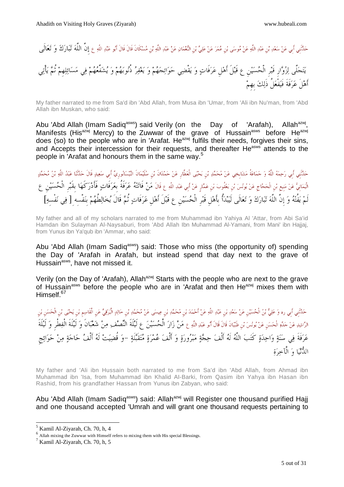أَهلَ عرفَةَ فَيفْعلُ ذَلك بِهِم

حَدَّنَنِي أَبِي عَنْ سَعْدِ بْنِ عَبْدِ اللَّهِ عَنْ مُوسَى بْنِ عُمَرَ عَنْ عَلِيٍّ بْنِ النُّعْمَانِ عَنْ عَبْدِ اللَّهِ بْنِ مُسْكَانَ قَالَ قَالَ أَبُو عَبْدِ اللَّهِ ع إِ<mark>نَّ اللَّهَ تَبَارَكَ وَ تَعَالَى</mark><br>. يتجلَّى لزوارِ قَبرِ الْحسينِ ع قَبلَ أَهلِ عرفَات و يقْضي حوائجهم و يغفر ذُنوبهم و يشفِّعهم في مسائلهِم ثُم يأْتي

My father narrated to me from Sa'd ibn 'Abd Allah, from Musa ibn 'Umar, from 'Ali ibn Nu'man, from 'Abd Allah ibn Muskan, who said:

Abu 'Abd Allah (Imam Sadiq<sup>asws</sup>) said Verily (on the Day of 'Arafah), Allah<sup>azwj</sup>. Manifests (His<sup>azwj</sup> Mercy) to the Zuwwar of the grave of Hussain<sup>asws</sup> before He<sup>azwj</sup> does (so) to the people who are in 'Arafat. He<sup>azwj</sup> fulfils their needs, forgives their sins, and Accepts their intercession for their requests, and thereafter He<sup>asws</sup> attends to the people in 'Arafat and honours them in the same way.<sup>5</sup>

حَدَّنْنِي أَبِي رَحِمَهُ اللَّهُ وَ حَمَاعَةُ مَشَايِخِي عَنْ مُحَمَّدِ بْنِ يَحْيَى الْعَطَّارِ عَنْ حَمْدَانَ بْن سُلَيْمَانَ النَّيْسَابُورِيٍّ أَبِي سَعِيدٍ قَالَ حَدَّنَنا عَبْدُ اللَّهِ بْنُ مُحَمَّدٍ الْيمَانيُّ عَنْ مَنيعِ بْنِ الْحَجَّاجِ عَنْ يُونْسَ بْنِ يَعْقُوبَ بْنِ عَمَّارِ عَنْ أَبِي عَبْدِ اللَّهِ عِ قَالَ مَنْ فَاتَتْهُ عَرَفَةُ بِعَرَفَاتٍ فَأَدْرَكَهَا بِقَبْرِ الْحُسَيْنِ عِ لَم يفُته و إِنَّ اللَّه تبارك و تعالَى لَيبدأُ بِأَهلِ قَبرِ الْحسينِ ع قَبلَ أَهلِ عرفَات ثُم قَالَ يخالطُهم بِنفْسِهِ [ في نفْسِه[

My father and all of my scholars narrated to me from Muhammad ibn Yahiya Al 'Attar, from Abi Sa'id Hamdan ibn Sulayman Al-Naysaburi, from 'Abd Allah Ibn Muhammad Al-Yamani, from Mani' ibn Hajjaj, from Yunus ibn Ya'qub ibn 'Ammar, who said:

Abu 'Abd Allah (Imam Sadiq<sup>asws</sup>) said: Those who miss (the opportunity of) spending the Day of 'Arafah in Arafah, but instead spend that day next to the grave of Hussain<sup>asws</sup>, have not missed it.

Verily (on the Day of 'Arafah), Allah<sup>azwj</sup> Starts with the people who are next to the grave of Hussain<sup>asws</sup> before the people who are in 'Arafat and then He<sup>azwj</sup> mixes them with Himself.<sup>67</sup>

حَدَّنْنِي أبي ره وَ عَلِيُّ بْنُ الْحُسَيْن عَنْ سَعْدِ بْن عَبْدِ اللَّهِ عَنْ أَحْمَدَ بْنِ مُحَمَّدِ بْنِ عِيسَى عَنْ مُحَمَّدٍ بْنِ عِيصَى عَنْ مُحَمَّدٍ بْنِ عَيْدِ الْعَرْقِيِّ عَن الْقَاسِمِ بْنِ يَحْيَى بْنِ الْحَ الرَّاشِدِ عَنْ جَدِّهِ الْحَسَنِ عَنْ يُونُسَ بْنِ ظَبَيَانَ قَالَ أَبُو عَبْدِ اللَّهِ ع مَنْ زَارَ الْحُسَيْنَ ع لَيْلَةَ النَّصْف مِنْ شَعْبَانَ وَ لَيْلَةَ الْفِطْرِ وَ لَيْلَةَ<br>مِمْنَةَ مِنْ حَدِيبٍ مِنْ يَجْمِعُ مَ عَرَفَةَ فِي سَنَةِ وَاحِدَةِ كَتَبَ اللَّهُ لَهُ أَلْفَ حِجَّةٍ مَبْرُورَةٍ وَ أَلْفَ عُمْرَةٍ مُتَقَبَّلَةٍ –وَ قُضِيَتْ لَهُ أَلْفُ حَاجَةٍ مِنْ حَوَائِجِ الدنيا و الْآخرة

My father and 'Ali ibn Hussain both narrated to me from Sa'd ibn 'Abd Allah, from Ahmad ibn Muhammad ibn 'Isa, from Muhammad ibn Khalid AI-Barki, from Qasim ibn Yahya ibn Hasan ibn Rashid, from his grandfather Hassan from Yunus ibn Zabyan, who said:

Abu 'Abd Allah (Imam Sadiq<sup>asws</sup>) said: Allah<sup>azwj</sup> will Register one thousand purified Hajj and one thousand accepted 'Umrah and will grant one thousand requests pertaining to

<sup>5</sup> Kamil Al-Ziyarah, Ch. 70, h, 4

<sup>6</sup> Allah mixing the Zuwwar with Himself refers to mixing them with His special Blessings.

<sup>7</sup> Kamil Al-Ziyarah, Ch. 70, h, 5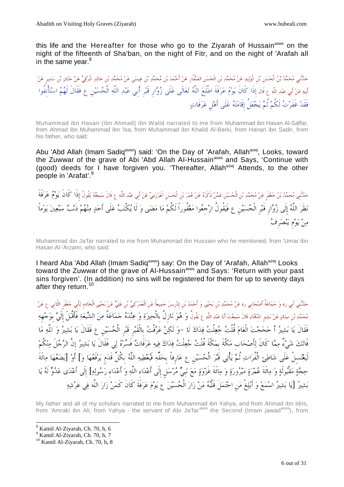this life and the Hereafter for those who go to the Ziyarah of Hussain<sup>asws</sup> on the night of the fifteenth of Sha'ban, on the night of Fitr, and on the night of 'Arafah all in the same vear. $8$ 

حَدَّنْني مُحَمَّدُ بْنُ الْحَسَنِ بْنِ الْوَلِيدِ عَنْ مُحَمَّدِ بْنِ الْحَسَنِ الصَّفَّارِ عَنْ أَحْمَدَ بْنِ مُحَمَّدٍ بْنِ مُحَمَّدٍ عَنْ مُحَمَّدٍ عَنْ أَحْمَدَ بِلَّذِينَ عَنْ مُحَمَّدٍ بِنِ مَنْ حَنَانِ بْنِ سَدِيرِ أَبِيهِ عَنْ أَبِي عَبْدِ اللَّهِ ع قَالَ إِذَا كَانَ يَوْمُ عَرَفَةَ اطَّلَعَ اللَّهُ تَعَالَى عَلَى زُوَّار قَبْر أَبِي عَبْدِ اللَّهِ الْحُسَيْنِ ع فَقَالَ لَهُمُ اسْتَأْنِفُوا فَقَد غَفَرت لَكُم ثُم يجعلُ إِقَامته علَى أَهلِ عرفَات

Muhammad ibn Hasan (ibn Ahmad) ibn Walid narrated to me from Muhammad ibn Hasan Al-Saffar, from Ahmad ibn Muhammad ibn 'Isa, from Muhammad ibn Khalid Al-Barki, from Hanan ibn Sadir, from his father, who said:

Abu 'Abd Allah (Imam Sadiq<sup>asws</sup>) said: 'On the Day of 'Arafah, Allah<sup>azwj</sup>, Looks, toward the Zuwwar of the grave of Abi 'Abd Allah Al-Hussain<sup>asws</sup> and Says, 'Continue with (good) deeds for I have forgiven you. 'Thereafter, Allah<sup>azwj</sup> Attends, to the other people in 'Arafat'.<sup>9</sup>

حَلَّنَنِي مُحَمَّدُ بْنُ حَعْفَر عَنْ مُحَمَّدِ بْنِ الْحُسَيْنِ عَمَّنْ ذَكَرَهُ عَنْ عُمَرَ بْنِ الْحَسَنِ الْعَرْزَمِيِّ عَنْ أَبِي عَبْدِ اللَّهِ ع قَالَ سَمِعْتُهُ يَقُولُ إِذَا كَانَ يَوْمُ عَرَفَةَ نظَر اللَّه إِلَى زوارِ قَبرِ الْحسينِ ع فَيقُولُ ارجِعوا مغفُوراً لَكُم ما مضى و لَا يكْتب علَى أَحد منهم ذَنب سبعين يوماً من يومِ ينصرِف

Muhammad ibn Ja'far narrated to me from Muhammad ibn Hussain who he mentioned, from 'Umar ibn Hasan Al-'Arzami, who said:

I heard Aba 'Abd Allah (Imam Sadiq<sup>asws</sup>) say: On the Day of 'Arafah, Allah<sup>azwj</sup> Looks toward the Zuwwar of the grave of Al-Hussain<sup>asws</sup> and Says: 'Return with your past sins forgiven'. (In addition) no sins will be registered for them for up to seventy days after they return.<sup>10</sup>

حَدَّنْنِي أَبِي ره وَ حَمَاعَةُ أَصْحَابِي ره عَنْ مُحَمَّدِ بْن يَحْيَى وَ أَحْمَدَ بْن إدريسَ حَمِيعاً عَن الْعَمْرَكِيِّ بْن عَلِيٍّ عَنْ يَحْيَى الْخَادِمِ لِأَبِي حَعْفَرِ الثَّانِي عِ عَنْ مُحَمَّدِ بْنِ سِنَانٍ عَنْ بَشِيرِ الدَّهَانِ قَالَ سَمِعْتُ أَبَا عَبْدِ اللَّهِ عِ يَقُولُ وَ هُوَ نَازِلٌ بِالْحِيرَةِ وَ عِنْدَهُ حَمَاعَةٌ مِنَ الشَّيعَةِ فَأَقْبَلَ إِلَيَّ بِوَجْهِهِ فَقَالَ يا بشير أَ حججت الْعام قُلْت جعلْت فداك لَا -و لَكن عرفْت بِالْقَبرِ قَبرِ الْحسينِ ع فَقَالَ يا بشير و اللَّه ما فَاتَكَ شَيْءٌ مِمَّا كَانَ لِأَصْحَابِ مَكَّةَ بِمَكَّةَ قُلْتُ جُعِلْتُ فِدَاكَ فِيهِ عَرَفَاتٌ فَسَّرْهُ لِي فَقَالَ يَا بَشِيرُ إِنَّ الرَّجُلَ مِنْكُمْ لَيغتسِلُ علَى شاطئ الْفُرات ثُم يأْتي قَبر الْحسينِ ع عارِفاً بِحقِّه فَيعطيه اللَّه بِكُلِّ قَدمٍ يرفَعها و [أَو] يضعها مائَةَ حِجَّةٍ مَقْبُولَةٍ وَ مِائَةَ عُمْرَةٍ مَبْرُورَةٍ وَ مِائَةَ غَزْوَةٍ مَعَ نَبِيٍّ مُرْسَلٍ إِلَى أَعْدَاء اللَّهِ وَ أَعْدَاء رَسُولِهِ] إِلَى أَعْدَى عَدُوٌّ لَهُ يَا بَشِيرُ [يَا بَشِيرُ اسْمَعْ وَ أَبْلِغْ مَنِ احْتَمَلَ قَلْبُهُ مَنْ زَارَ الْحُسَيْنَ ع يَوْمَ عَرَفَةَ كَانَ كَمَنْ زَارَ اللَّهَ فِي عَرْشِهِ

My father and all of my scholars narrated to me from Muhammad ibn Yahya, and from Ahmad ibn Idris, from 'Amraki ibn Ali, from Yahya - the servant of Abi Ja'far<sup>asws</sup> the Second (Imam jawad<sup>asws</sup>), from

<sup>-</sup>8 Kamil Al-Ziyarah, Ch. 70, h, 6

<sup>9</sup> Kamil Al-Ziyarah, Ch. 70, h, 7

<sup>10</sup> Kamil Al-Ziyarah, Ch. 70, h, 8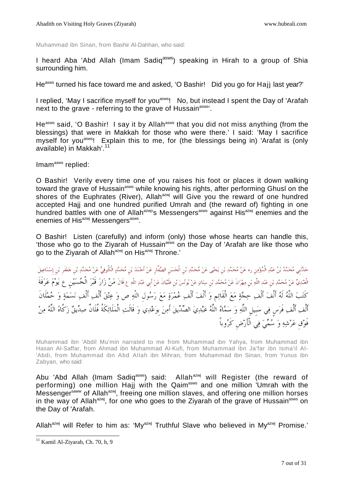Muhammad ibn Sinan, from Bashir Al-Dahhan, who said:

I heard Aba 'Abd Allah (Imam Sadiq<sup>asws</sup>) speaking in Hirah to a group of Shia surrounding him.

He<sup>asws</sup> turned his face toward me and asked, 'O Bashir! Did you go for Hajj last year?'

I replied, 'May I sacrifice myself for you<sup>asws</sup>! No, but instead I spent the Day of 'Arafah next to the grave - referring to the grave of Hussain<sup>asws</sup>'.

He<sup>asws</sup> said, 'O Bashir! I say it by Allah<sup>asws</sup> that you did not miss anything (from the blessings) that were in Makkah for those who were there.' I said: 'May I sacrifice myself for you<sup>asws</sup>! Explain this to me, for (the blessings being in) 'Arafat is (only available) in Makkah'.<sup>11</sup>

Imam<sup>asws</sup> replied:

O Bashir! Verily every time one of you raises his foot or places it down walking toward the grave of Hussain<sup>asws</sup> while knowing his rights, after performing Ghusl on the shores of the Euphrates (River), Allah<sup>azwj</sup> will Give you the reward of one hundred accepted Haij and one hundred purified Umrah and (the reward of) fighting in one hundred battles with one of Allah<sup>azwj</sup>'s Messengers<sup>asws</sup> against His<sup>azwj</sup> enemies and the enemies of His<sup>azwj</sup> Messengers<sup>asws</sup>.

O Bashir! Listen (carefully) and inform (only) those whose hearts can handle this, 'those who go to the Ziyarah of Hussain<sup>asws</sup> on the Day of 'Arafah are like those who go to the Ziyarah of Allah<sup>azwj</sup> on His<sup>azwj</sup> Throne.'

حَدَّنَنِي مُحَمَّدُ بْنُ عَبْدِ الْمُؤْمِن ره عَنْ مُحَمَّدِ بْن يَحْيَى عَنْ مُحَمَّدِ بْن الْحَسَنِ الصَّفْارِ عَنْ أَحْمَدَ بْن مُحَمَّدٍ الْكُوفِيِّ عَنْ مُحَمَّدِ بْن حَعْفَر بْن إسْمَاعِيلَ الْعَبْدِيِّ عَنْ مُحَمَّدِ بْن عَبْدِ اللَّهِ بْن مِهْرَانَ عَنْ مُحَمَّدِ بْن سِنَانٍ عَنْ يُونسَ بْن ظَبَيْانَ عَنْ أَبى عَبْدِ اللَّهِ عِ قَالَ مَنْ زَارَ قَبْرَ الْحُسَيْنِ عِ يَوْمَ عَرَفَةَ كَتَبَ اللَّهُ لَهُ أَلْفَ أَلْفعِ حِجَّةٍ مَعَ الْقَائِمِ وَ أَلْفَ أَلْفٍ عُمْرَةٍ مَعَ رَسُولِ اللَّهِ ص وَ عِتْقَ أَلْفٍ أَلْفٍ نَسَمَةٍ وَ حُمْلَانَ أَلْف أَلْف فَرَس فِي سَبيلِ اللَّهِ وَ سَمَّاهُ اللَّهُ عَبْدِيَ الصِّدِّيقَ أَمِنَ بوَعْدِي وَ قَالَتِ الْمَلَائِكَةُ فُلَانٌ صِدِّيقٌ زَكَّاهُ اللَّهُ مِنْ فَوْق عَرْشِهِ وَ سُمِّيَ فِي الْأَرْضِ كَرُوباً

Muhammad ibn 'Abdil Mu'min narrated to me from Muhammad ibn Yahya, from Muhammad ibn Hasan Al-Saffar, from Ahmad ibn Muhammad Al-Kufi, from Muhammad ibn Ja'far ibn Isma'il Al- 'Abdi, from Muhammad ibn Abd Allah ibn Mihran, from Muhammad ibn Sinan, from Yunus ibn Zabyan, who said:

Abu 'Abd Allah (Imam Sadiq<sup>asws</sup>) said: Allah<sup>azwj</sup> will Register (the reward of performing) one million Hajj with the Qaim<sup>asws</sup> and one million 'Umrah with the Messenger<sup>saww</sup> of Allah<sup>azwj</sup>, freeing one million slaves, and offering one million horses in the way of Allah<sup>azwj</sup>, for one who goes to the Ziyarah of the grave of Hussain<sup>asws</sup> on the Day of 'Arafah.

Allah<sup>azwj</sup> will Refer to him as: 'My<sup>azwj</sup> Truthful Slave who believed in My<sup>azwj</sup> Promise.'

<sup>&</sup>lt;sup>11</sup> Kamil Al-Ziyarah, Ch. 70, h, 9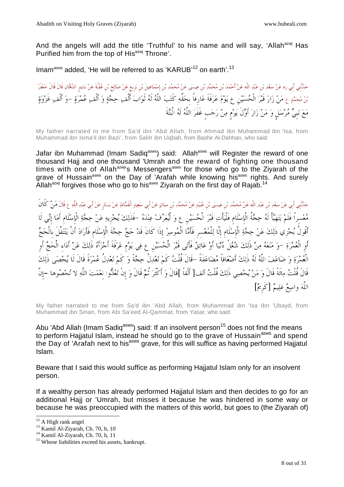And the angels will add the title 'Truthful' to his name and will say, 'Allah<sup>azwj</sup> Has Purified him from the top of His<sup>azwj</sup> Throne'.

Imam<sup>asws</sup> added, 'He will be referred to as 'KARUB'<sup>12</sup> on earth'.<sup>13</sup>

حَدَّنْنِي أبي ره عَنْ سَعْدِ بْن عَبْدِ اللَّهِ عَنْ أَحْمَدَ بْن مُحَمَّدِ بْن عِيسَى عَنْ مُحَمَّدٍ بْن عِصَهَا عَنْ مُحَمَّدٍ بْن إِسْمَاعِيلَ بْن بَزيعٍ عَنْ صَلاحٍ بْن عُقْبَةَ عَنْ بَشِيرِ الدَّهَانِ قَالَ قَالَ حَع بْنُ مُحَمَّدٍ ع مَنْ زَارَ قَبْرَ الْحُسَيْنِ عِ يَوْمَ عَرَفَةَ عَارِفاً بِحَقِّهِ كَتَبَ اللَّهُ لَهُ ثَوَابَ أَلْفِ حِجَّةٍ وَ أَلْف عُمْرَةٍ –وَ أَلْفِ غَزْوَةٍ مع نبِي مرسلٍ و من زار أَولَ يومٍ من رجبٍ غَفَر اللَّه لَه الْبتةَ

My father narrated to me from Sa'd ibn 'Abd Allah, from Ahmad ibn Muhammad ibn 'Isa, from Muhammad ibn Isma'il ibn Bazi', from Salih ibn Uqbah, from Bashir Al-Dahhan, who said:

Jafar ibn Muhammad (Imam Sadiq<sup>asws</sup>) said: Allah<sup>asws</sup> will Register the reward of one thousand Hajj and one thousand 'Umrah and the reward of fighting one thousand times with one of Allah<sup>azwj</sup>'s Messengers<sup>asws</sup> for those who go to the Ziyarah of the grave of Hussain<sup>asws</sup> on the Day of 'Arafah while knowing his<sup>asws</sup> rights. And surely Allah<sup>azwj</sup> forgives those who go to his<sup>asws</sup> Ziyarah on the first day of Rajab.<sup>14</sup>

حَدَّنَنِي أَبِي عَنْ سَعْدِ بْنِ عَبْدِ اللَّهِ عَنْ مُحَمَّدِ بْنِ عِيسَى بْنِ عُبَيْدٍ عَنْ مُحَمَّدِ بْنِ سِنَانٍ عَنْ أَبِي سَعِيدٍ الْقَمَّاطِ عَنْ يَسَارِ عَنْ أَبِي مَبْلِدِ اللَّهِ ع قَالَ مَنْ كَانَ معسِراً فَلَم يتهيأْ لَه حجةُ الْإِسلَامِ فَلْيأْت قَبر الْحسينِ ع و لْيعرف عنده -فَذَلك يجزِيه عن حجة الْإِسلَامِ أَما إِني لَا أَقُولُ يُجْزِي ذَلِكَ عَنْ حِجَّةِ الْإِسْلَامِ إِلَّا لِلْمُعْسرِ فَأَمَّا الْمُوسِرُ إِذَا كَانَ قَدْ حَجَّ حِجَّةَ الْإِسْلَامِ فَأَرَادَ أَنْ يَتَنَفَّلَ بِالْحَجِّ أَوِ الْعمرة -و منعه من ذَلك شغلُ دنيا أَو عائق فَأَتى قَبر الْحسينِ ع في يومِ عرفَةَ أَجزأَه ذَلك عن أَداءِ الْحج أَوِ الْعمرة و ضاعف اللَّه لَه ذَلك أَضعافاً مضاعفَةً -قَالَ قُلْت كَم تعدلُ حجةً و كَم تعدلُ عمرةً قَالَ لَا يحصى ذَلك قَالَ قُلْتُ مِائَةً قَالَ وَ مَنْ يُحْصِي ذَلِكَ قُلْتُ أَلف[ أَلْفاً ]قَالَ وَ أَكْثَرَ نُمَّ قَالَ وَ إِنْ تَعُدُّوا نغْمَتَ اللَّهِ لا تُحْصُوها –إِنَّ اللَّهَ واسِعٌ عَلِيمٌ [كَرِيمٌ]

My father narrated to me from Sa'd ibn 'Abd Allah, from Muhammad ibn 'Isa Ibn 'Ubayd, from Muhammad ibn Sinan, from Abi Sa'eed Al-Qammat, from Yasar, who said:

Abu 'Abd Allah (Imam Sadiq<sup>asws</sup>) said: If an insolvent person<sup>15</sup> does not find the means to perform Hajjatul Islam, instead he should go to the grave of Hussain<sup>asws</sup> and spend the Day of 'Arafah next to his<sup>asws</sup> grave, for this will suffice as having performed Hajjatul Islam.

Beware that I said this would suffice as performing Hajjatul Islam only for an insolvent person.

If a wealthy person has already performed Hajjatul Islam and then decides to go for an additional Hajj or 'Umrah, but misses it because he was hindered in some way or because he was preoccupied with the matters of this world, but goes to (the Ziyarah of)

<sup>&</sup>lt;sup>12</sup> A High rank angel

 $^{13}$  Kamil Al-Ziyarah, Ch. 70, h, 10

<sup>14</sup> Kamil Al-Ziyarah, Ch. 70, h, 11

<sup>&</sup>lt;sup>15</sup> Whose liabilities exceed his assets, bankrupt.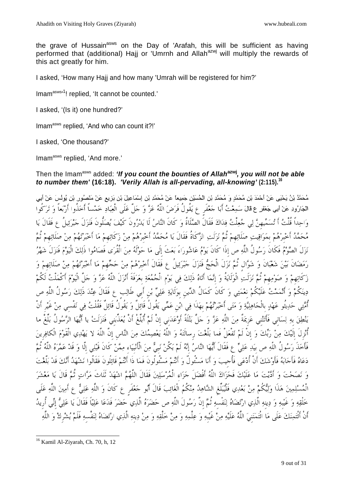the grave of Hussain<sup>asws</sup> on the Day of 'Arafah, this will be sufficient as having performed that (additional) Hajj or 'Umrnh and Allah<sup>azwj</sup> will multiply the rewards of this act greatly for him.

I asked, 'How many Hajj and how many 'Umrah will be registered for him?'

Imam<sup>asws'1</sup>! replied, 'It cannot be counted.'

I asked, '(Is it) one hundred?'

Imam<sup>asws</sup> replied, 'And who can count it?!'

I asked, 'One thousand?'

Imam<sup>asws</sup> replied, 'And more.'

# Then the Imam<sup>asws</sup> added: 'If you count the bounties of Allah<sup>azwj</sup>, you will not be able **to number them' (16:18). 'Verily Allah is all-pervading, all-knowing' (2:115).<sup>16</sup>**

مُحَمَّدُ بْنُ يَحْيَى عَنْ أَحْمَدَ بْنِ مُحَمَّدٍ وَ مُحَمَّدِ بْنِ الْحُسَيْنِ جَمِيعاً عَنْ مُحَمَّدِ بْنِ إِسْمَاعِيلَ بْنِ بَزِيعٍ عَنْ مَنْصُورٍ بْنِ يُونُسَ عَنْ أَبِي الْجَارُودِ عَنْ أَبِي جَعْفَرٍ ع قَالَ سَمِعْتُ أَبَا جَعْفَرٍ ع يَقُولُ فَرَضَ اللَّهُ عَزَّ وَ جَلَّ عَلَى الْعِبَادِ خَمْساً أَخذُوا أَرْبَعاً وَ تَرَكُوا واحداً قُلْت أَ تسميهِن لي جعلْت فداك فَقَالَ الصلَاةُ و كَانَ الناس لَا يدرونَ كَيف يصلُّونَ فَنزلَ جبرئيلُ ع فَقَالَ يا مُحَمَّدُ أَخْبِرْهُمْ بِمَوَاقِيتِ صَلَاتِهِمْ ثُمَّ نَزَلَتِ الزَّكَاةُ فَقَالَ يَا مُحَمَّدُ أَخْبِرْهُمْ مِنْ زَكَاتِهِمْ مَا أَخبَرْتَهُمْ مِنْ صَلَاتِهِمْ ثُمَّ نَزلَ الصَّوْمُ فَكَانَ رَسُولُ اللَّهِ ص إِذَا كَانَ يَوْمُ عَاشُورَاءَ بَعَثَ إِلَى مَا حَوْلَهُ مِنَ الْقُرَى فَصَامُوا ذَلِكَ الْيَوْمَ فَنَزَلَ شَهْرُ رَمَضَانَ بَيْنَ شَعْبَانَ وَ شَوَّالٍ ثُمَّ نَزَلَ الْحَجُّ فَنَزلَ جَبْرَئِيلُ ع فَقَالَ أَخْبِرْهُمْ مِنْ حَجَّهِمْ مَا أَخْبَرْتَهُمْ مِنْ صَلَاتِهِمْ وَ زَكَاتِهِمْ وَ صَوْمِهِمْ ثُمَّ نَزَلَتِ الْوَلَايَةُ وَ إِنَّمَا أَتَاهُ ذَلِكَ فِي يَوْمِ الْجُمُعَةِ بِعَرَفَةَ أَنْزَلَ اللَّهُ عَزَّ وَ جَلَّ الْيَوْمَ أَكْمَلْتُ لَكُمْ دِينَكُمْ وَ أَتْمَمْتُ عَلَيْكُمْ نِعْمَتِي وَ كَانَ كَمَالُ الدِّينِ بِوَلَايَةِ عَلِيٍّ بْنِ أَبِي طَالِبٍ ع فَقَالَ عِنْدَ ذَلِكَ رَسُولُ اللَّهِ ص أُمَّتِي حَدِيتُو عَهْدٍ بِالْجَاهِلِيَّةِ وَ مَتَى أَخْبَرْتُهُمْ بِهَذَا فِي ابْنِ عَمِّي يَقُولُ قَائِلٌ وَ يَقُولُ قَائِلٌ فَقُلْتُ فِي نَفْسي مِنْ غَيْرِ أَنْ يَنْطِقَ بِهِ لِسَانِي فَأَتَتْنِي عَزِيمَةٌ مِنَ اللَّهِ عَزَّ وَ حَلَّ بَتْلَةً أَوْعَدَنِي إِنْ لَمْ أُبَلِّغْ أَنْ يُعَذِّبنِي فَنَزَلَتْ يا أَيُّهَا الرَّسُولُ بَلِّغْ ما أُنْزِلَ إِلَيْكَ مِنْ رَبِّكَ وَ إِنْ لَمْ تَفْعَلْ فَما بَلَّغْتَ رِسالَتَهُ وَ اللَّهُ يَعْصِمُكَ مِنَ النَّاسِ إِنَّ اللَّهَ لا يَهْدِي الْقَوْمَ الْكافِرِينَ فَأَخذَ رَسُولُ اللَّهِ ص بِيَدِ عَلِيٍّ ع فَقَالَ أَيُّهَا النَّاسُ إِنَّهُ لَمْ يَكُنْ نَبِيٌّ مِنَ الْأَنْبِيَاء مِمَّنْ كَانَ قَبْلِي إِلَّا وَ قَدْ عَمَّرَهُ اللَّهُ تُمَّ دَعَاهُ فَأَجَابَهُ فَأَوْشَكَ أَنْ أُدْعَى فَأُجِيبَ وَ أَنَا مَسْئُولٌ وَ أَنْتُمْ مَسْئُولُونَ فَمَا ذَا أَنْتُمْ قَائِلُونَ فَقَالُوا نَشْهَدُ أَنَّكَ قَدْ بَلَّغْتَ وَ نَصَحْتَ وَ أَدَّيْتَ مَا عَلَيْكَ فَجَزَاكَ اللَّهُ أَفْضَلَ جَزَاء الْمُرْسَلِينَ فَقَالَ اللَّهُمَّ اشْهَدْ ثَلَاثَ مَرَّاتٍ ثُمَّ قَالَ يَا مَعْشَرَ الْمُسْلِمِينَ هَذَا وَلِيُكُمْ مِنْ بَعْدِي فَلْيُبَلِّغِ الشَّاهِدُ مِنْكُمُ الْغَائِبَ قَالَ أَبُو حَعْفَرٍ ع كَانَ وَ اللَّهِ عَلِيٌّ ع أَمِينَ اللَّهِ عَلَى خلْقِهِ وَ غَيْبِهِ وَ دِينِهِ الَّذِي ارْتَضَاهُ لِنَفْسِهِ ثُمَّ إِنَّ رَسُولَ اللَّهِ ص حَضَرَهُ الَّذِي حَضَرَ فَدَعَا عَلِيَّاً فَقَالَ يَا عَلِيُّ إِنِّي أُرِيدُ أَنْ أَئْتَمِنَكَ عَلَى مَا ائْتَمَنَنِيَ اللَّهُ عَلَيْهِ مِنْ غَيْبِهِ وَ عِلْمِهِ وَ مِنْ خَلْقِهِ وَ مِنْ دِينِهِ الَّذِي ارْتَضَاهُ لِنَفْسِهِ فَلَمْ يُشْرِكْ وَ اللَّهِ

<sup>-</sup><sup>16</sup> Kamil Al-Ziyarah, Ch. 70, h, 12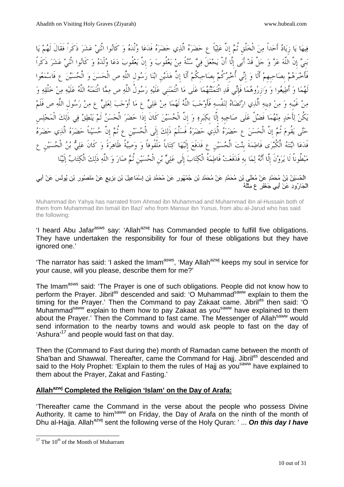فِيهَا يَا زِيَادُ أَحَداً مِنَ الْخَلْقِ ثُمَّ إِنَّ عَلِيّاً ع حَضَرَهُ الَّذِي حَضَرَهُ فَدَعَا وُلْدَهُ وَ كَانُوا اثْنَىْ عَشَرَ ذَكَراً فَقَالَ لَهُمْ يَا بَنِيَّ إِنَّ اللَّهَ عَزَّ وَ جَلَّ قَدْ أَبَى إِلَّا أَنْ يَجْعَلَ فِيَّ سُنَّةً مِنْ يَعْقُوبَ وَ إِنَّ يَعْقُوبَ دَعَا وُلْدَهُ وَ كَانُوا اثْنَىْ عَشَرَ ذَكَراً فَأَخْبَرَهُمْ بِصَاحِبِهِمْ أَلَا وَ إِنِّي أُخْبِرُكُمْ بِصَاحِبِكُمْ أَلَا إِنَّ هَذَيْنِ ابْنَا رَسُولِ اللَّهِ ص الْحَسَنَ وَ الْحُسَيْنَ ع فَاسْمَعُوا لَهُمَا وَ أَطِيعُوا وَ وَازِرُوهُمَا فَإِنِّي قَدِ ائْتَمَنْتُهُمَا عَلَى مَا ائْتَمَنَنِي عَلَيْهِ رَسُولُ اللَّهِ ص مِمَّا ائْتَمَنَهُ اللَّهُ عَلَيْهِ مِنْ خَلْقِهِ وَ مِنْ غَيْبِهِ وَ مِنْ دِينِهِ الَّذِي ارْتَضَاهُ لِنَفْسِهِ فَأَوْجَبَ اللَّهُ لَهُمَا مِنْ عَلِيٍّ عِ مَا أَوْجَبَ لِعَلِيٍّ عِ مِنْ رَسُولِ اللَّهِ ص فَلَمْ يَكُنْ لِأَحَدٍ مِنْهُمَا فَضْلٌ عَلَى صَاحِبِهِ إِلَّا بِكِبَرِهِ وَ إِنَّ الْحُسَيْنَ كَانَ إِذَا حَضَرَ الْحَسَنُ لَمْ يَنْطِقْ فِي ذَلِكَ الْمَجْلِس حَتَّى يَقُومَ ثُمَّ إِنَّ الْحَسَنَ عِ حَضَرَهُ الَّذِي حَضَرَهُ فَسَلَّمَ ذَلِكَ إِلَى الْحُسَيْنِ عِ ثُمَّ إِنَّ حُسَيْناً حَضَرَهُ الَّذِي حَضَرَهُ فَدَعَا ابْنَتَهُ الْكُبْرَى فَاطِمَةَ بِنْتَ الْحُسَيْنِ عِ فَدَفَعَ إِلَيْهَا كِتَاباً مَلْفُوفاً وَ وَصِيَّةً ظَاهِرَةً وَ كَانَ عَلِيُّ بْنُ الْحُسَيْنِ عِ مَبْطُوناً لَا يَرَوْنَ إِلَّا أَنَّهُ لِمَا بِهِ فَدَفَعَتْ فَاطِمَةُ الْكِتَابَ إِلَى عَلِيٍّ بْنِ الْحُسَيْنِ ثُمَّ صَارَ وَ اللَّهِ ذَلِكَ الْكِتَابُ إِلَيْنَا

الْحُسَيْنُ بْنُ مُحَمَّدٍ عَنْ مُعَلًى بْنِ مُحَمَّدٍ عَنْ مُحَمَّدِ بْنِ جُمْهُورٍ عَنْ مُحَمَّدِ بْنِ إِسْمَاعِيلَ بْنِ بَزِيعٍ عَنْ مَنْصُورٍ بْنِ يُونْسَ عَنْ أَبِي الْجَارُودِ عَنْ أَبِي جَعْفَرٍ ع مِثْلَهُ

Muhammad ibn Yahya has narrated from Ahmad ibn Muhammad and Muharnmad ibn al-Hussain both of them from Muhammad ibn lsmail ibn Bazi' who from Mansur ibn Yunus, from abu al-Jarud who has said the following:

'I heard Abu Jafar<sup>asws</sup> say: 'Allah<sup>azwj</sup> has Commanded people to fulfill five obligations. They have undertaken the responsibility for four of these obligations but they have ignored one.'

'The narrator has said: 'I asked the Imam<sup>asws</sup>, 'May Allah<sup>azwj</sup> keeps my soul in service for your cause, will you please, describe them for me?'

The Imam<sup>asws</sup> said: 'The Prayer is one of such obligations. People did not know how to perform the Prayer. Jibril<sup>as</sup> descended and said: 'O Muhammad<sup>saww</sup> explain to them the timing for the Prayer.' Then the Command to pay Zakaat came. Jibril<sup>as</sup> then said: 'O Muhammad<sup>saww</sup> explain to them how to pay Zakaat as you<sup>saww</sup> have explained to them about the Prayer.' Then the Command to fast came. The Messenger of Allah<sup>saww</sup> would send information to the nearby towns and would ask people to fast on the day of 'Ashura'<sup>17</sup> and people would fast on that day.

Then the (Command to Fast during the) month of Ramadan came between the month of Sha'ban and Shawwal. Thereafter, came the Command for Haij. Jibril<sup>as</sup> descended and said to the Holy Prophet: 'Explain to them the rules of Haij as you<sup>saww</sup> have explained to them about the Prayer, Zakat and Fasting.'

#### **Allahazwj Completed the Religion 'Islam' on the Day of Arafa:**

'Thereafter came the Command in the verse about the people who possess Divine Authority. It came to him<sup>saww</sup> on Friday, the Day of Arafa on the ninth of the month of Dhu al-Hajja. Allah<sup>azwj</sup> sent the following verse of the Holy Quran: ' ... **On this day I have** 

 $17$  The  $10<sup>th</sup>$  of the Month of Muharram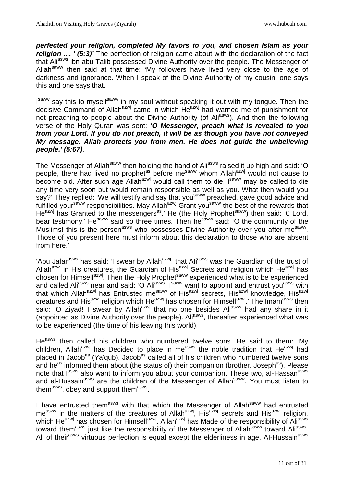**perfected your religion, completed My favors to you, and chosen Islam as your religion .... ' (5:3)'** The perfection of religion came about with the declaration of the fact that Ali<sup>asws</sup> ibn abu Talib possessed Divine Authority over the people. The Messenger of Allah<sup>saww</sup> then said at that time: 'My followers have lived very close to the age of darkness and ignorance. When I speak of the Divine Authority of my cousin, one says this and one says that.

I<sup>saww</sup> say this to myself<sup>saww</sup> in my soul without speaking it out with my tongue. Then the decisive Command of Allah<sup>azwj</sup> came in which He<sup>azwj</sup> had warned me of punishment for not preaching to people about the Divine Authority (of Ali<sup>asws</sup>). And then the following verse of the Holy Quran was sent: **'O Messenger, preach what is revealed to you from your Lord. If you do not preach, it will be as though you have not conveyed My message. Allah protects you from men. He does not guide the unbelieving people.' (5:67)**.

The Messenger of Allah<sup>saww</sup> then holding the hand of Ali<sup>asws</sup> raised it up high and said: 'O people, there had lived no prophet<sup>as</sup> before me<sup>saww</sup> whom Allah<sup>azwj</sup> would not cause to become old. After such age Allah<sup>azwj</sup> would call them to die. I<sup>saww</sup> may be called to die any time very soon but would remain responsible as well as you. What then would you say?' They replied: 'We will testify and say that you<sup>saww</sup> preached, gave good advice and fulfilled your<sup>saww</sup> responsibilities. May Allah<sup>azwj</sup> Grant you<sup>saww</sup> the best of the rewards that He<sup>azwj</sup> has Granted to the messengers<sup>as</sup>.' He (the Holy Prophet<sup>saww</sup>) then said: '0 Lord, bear testimony.' He<sup>saww</sup> said so three times. Then he<sup>saww</sup> said: 'O the community of the Muslims! this is the person<sup>asws</sup> who possesses Divine Authority over you after me<sup>saww</sup>. Those of you present here must inform about this declaration to those who are absent from here.'

'Abu Jafar<sup>asws</sup> has said: 'I swear by Allah<sup>azwj</sup>, that Ali<sup>asws</sup> was the Guardian of the trust of Allah<sup>azwj</sup> in His creatures, the Guardian of His<sup>azwj</sup> Secrets and religion which He<sup>azwj</sup> has chosen for Himself<sup>azwj</sup>. Then the Holy Prophet<sup>saww</sup> experienced what is to be experienced and called Ali<sup>asws</sup> near and said: 'O Ali<sup>asws</sup>, I<sup>saww</sup> want to appoint and entrust you<sup>asws</sup> with that which Allah<sup>azwj</sup> has Entrusted me<sup>saww</sup> of His<sup>azwj</sup> secrets, His<sup>azwj</sup> knowledge, His<sup>azwj</sup> creatures and His<sup>azwj</sup> religion which He<sup>azwj</sup> has chosen for Himself<sup>azwj</sup>.' The Imam<sup>asws</sup> then said: 'O Ziyad! I swear by Allah<sup>azwj</sup> that no one besides Ali<sup>asws</sup> had any share in it (appointed as Divine Authority over the people). Ali<sup>asws</sup>, thereafter experienced what was to be experienced (the time of his leaving this world).

He<sup>asws</sup> then called his children who numbered twelve sons. He said to them: 'My children, Allah<sup>azwj</sup> has Decided to place in me<sup>asws</sup> the noble tradition that He<sup>azwj</sup> had placed in Jacob<sup>as</sup> (Ya'qub). Jacob<sup>as</sup> called all of his children who numbered twelve sons and he<sup>as</sup> informed them about (the status of) their companion (brother, Joseph<sup>as</sup>). Please note that lasws also want to inform you about your companion. These two, al-Hassan<sup>asws</sup> and al-Hussain<sup>asws</sup> are the children of the Messenger of Allah<sup>saww</sup>. You must listen to them<sup>asws</sup>, obey and support them<sup>asws</sup>.

I have entrusted them<sup>asws</sup> with that which the Messenger of Allah<sup>saww</sup> had entrusted me<sup>asws</sup> in the matters of the creatures of Allah<sup>azwj</sup>, His<sup>azwj</sup> secrets and His<sup>azwj</sup> religion, which He<sup>azwj</sup> has chosen for Himself<sup>azwj</sup>. Allah<sup>azwj</sup> has Made of the responsibility of Ali<sup>asws</sup> toward them<sup>asws</sup> just like the responsibility of the Messenger of Allah<sup>saww</sup> toward Ali<sup>asws</sup>. All of their<sup>asws</sup> virtuous perfection is equal except the elderliness in age. Al-Hussain<sup>asws</sup>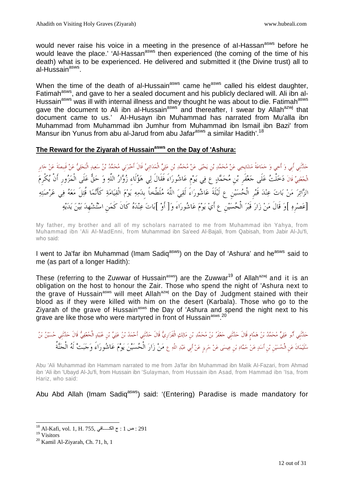would never raise his voice in a meeting in the presence of al-Hassan<sup>asws</sup> before he would leave the place.' 'Al-Hassan<sup>asws</sup> then experienced (the coming of the time of his death) what is to be experienced. He delivered and submitted it (the Divine trust) all to al-Hussain<sup>asws</sup>.

When the time of the death of al-Hussain<sup>asws</sup> came he<sup>asws</sup> called his eldest daughter, Fatimah<sup>asws</sup>, and gave to her a sealed document and his publicly declared will. Ali ibn al-Hussain<sup>asws</sup> was ill with internal illness and they thought he was about to die. Fatimah<sup>asws</sup> gave the document to Ali ibn al-Hussain<sup>asws</sup> and thereafter, I swear by Allah<sup>azwj</sup> that document came to us.' AI-Husayn ibn Muhammad has narrated from Mu'alla ibn Muhammad from Muhammad ibn Jumhur from Muhammad ibn lsmail ibn Bazi' from Mansur ibn Yunus from abu al-Jarud from abu Jafar<sup>asws</sup> a similar Hadith'.<sup>18</sup>

#### **The Reward for the Ziyarah of Hussainasws on the Day of 'Ashura:**

حَدَّنْنِي أبي وَ أخِي وَ حَمَاعَةُ مَشَايِخِي عَنْ مُحَمَّدِ بْن يَحْيَى عَنْ مُحَمَّدِ بْن عَلِيٍّ الْمَدَائِنِيٍّ قَالَ أَخْبَرَنِي مُحَمَّدُ بْنُ سَعِيدٍ الْبَجَلِيُّ عَنْ قَبيصَةَ عَنْ جَابر الْخُفِيِّ قَالَ دَخَلْتُ عَلَى جَعْفَر بْنِ مُحَمَّدٍ عِ فِي يَوْم عَاشُورَاءَ فَقَالَ لِي هَؤُلَاء زُوَّارُ اللَّهِ وَ حَقٌّ عَلَى الْمَزُورِ أَنْ يُكْرِمَ الزَّائِرَ مَنْ بَاتَ عِنْدَ قَبْرِ الْحُسَيْنِ ع لَيْلَةَ عَاشُورَاءَ لَقِيَ اللَّه مُلَطَّخاً بدَمِهِ يَوْمَ الْقِيَامَةِ كَأَنَّمَا قُتِلَ مَعَهُ فِي عَرْصَتِهِ [عَصْرِهِ ]وَ قَالَ مَنْ زَارَ قَبْرَ الْحُسَيْنِ عِ أَيْ يَوْمَ عَاشُورَاءَ وَ[ أَوْ ]بَاتَ عِنْدَهُ كَانَ كَمَنِ اسْتُشْهِدَ بَيْنَ يَدَيْهِ

My father, my brother and all of my scholars narrated to me from Muhammad ibn Yahya, from Muhammad ibn 'Ali Al-MadEnni, from Muhammad ibn Sa'eed Al-Bajali, from Qabisah, from Jabir Al-Ju'fi, who said:

I went to Ja'far ibn Muhammad (Imam Sadiq<sup>asws</sup>) on the Day of 'Ashura' and he<sup>asws</sup> said to me (as part of a longer Hadith):

These (referring to the Zuwwar of Hussain<sup>asws</sup>) are the Zuwwar<sup>19</sup> of Allah<sup>azwj</sup> and it is an obligation on the host to honour the Zair. Those who spend the night of 'Ashura next to the grave of Hussain<sup>asws</sup> will meet Allah<sup>azwj</sup> on the Day of Judgment stained with their blood as if they were killed with him on the desert (Karbala). Those who go to the Ziyarah of the grave of Hussain<sup>asws</sup> the Day of 'Ashura and spend the night next to his grave are like those who were martyred in front of Hussain<sup>asws 20</sup>

Abu 'Ali Muhammad ibn Hammam narrated to me from Ja'far ibn Muhammad ibn Malik AI-Fazari, from Ahmad ibn 'Ali ibn 'Ubayd Al-Ju'fi, from Hussain ibn 'Sulayman, from Hussain ibn Asad, from Hammad ibn 'Isa, from Hariz, who said:

Abu Abd Allah (Imam Sadiq<sup>asws</sup>) said: '(Entering) Paradise is made mandatory for

حَدَّنْنِي أَبُو عَلِيٍّ مُحَمَّدُ بْنُ هَمَّام قَالَ حَدَّنْنِي حَعْفَرُ بْنُ مُحَمَّدٍ بْنِ مَالِكٍ الْفَزَارِيُّ قَالَ حَدَّنَنِي أَحْمَدُ بْنُ عَلِيٍّ بِي مَالِكِ الْفَزَارِي قَالَ حَلَيْنِ مُنْ وَالِحَمْدِيُّ وَالَ حَ سُلَيْمَانَ عَن الْحُسَيْنِ بْنِ أَسَدٍ عَنْ حَمَّادِ بْنِ عِيسَى عَنْ حَرِيزِ عَنْ أَبِي عَبْدِ اللَّهِ عِ مَنْ زَارَ الْحُسَيْنَ يَوْمَ عَاشُوراءَ وَجَبَتْ لَهُ الْجَنَّةُ

<sup>-</sup> $^{18}$  Al-Kafi, vol. 1, H. 755, حس 1 $\cdot$  ج الكـــــافي . $291$ 

<sup>19</sup> Visitors

<sup>20</sup> Kamil Al-Ziyarah, Ch. 71, h, 1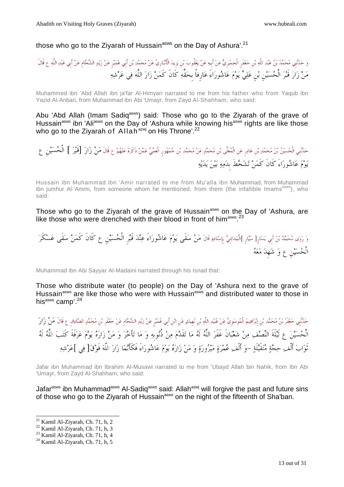# those who go to the Ziyarah of Hussain<sup>asws</sup> on the Day of Ashura'.<sup>21</sup>

وَ حَدَّنَني مُحَمَّدُ بْنُ عَبْدِ اللَّهِ بْن حَعْفَر الْحِمْيَريُّ عَنْ أبيهِ عَنْ يَعْقُوبَ بْنِ يَزِيدَ الْأَنْبَارِيَّ عَنْ مُحَمَّدِ بْنِ يَوْ قَالَ الْمَرْوِي عَبْدِ اللَّهِ ع قَالَ مَنْ زَارَ قَبْرَ الْحُسَيْن بْنِ عَلِيٍّ يَوْمَ عَاشُورَاءَ عَارِفاً بِحَقِّهِ كَانَ كَمَنْ زَارَ اللَّهَ فِي عَرْشِهِ

Muhammed ibn 'Abd Allah ibn ja'far Al-Himyari narrated to me from his father who from Yaqub ibn Yazid Al-Anbari, from Muhammad ibn Abi 'Umayr, from Zayd Al-Shahham, who said:

Abu 'Abd Allah (Imam Sadiq<sup>asws</sup>) said: Those who go to the Ziyarah of the grave of Hussain<sup>asws</sup> ibn 'Ali<sup>asws</sup> on the Day of 'Ashura while knowing his<sup>asws</sup> rights are like those who go to the Ziyarah of Allah<sup>azwj</sup> on His Throne'.<sup>22</sup>

حَدَّنَنِي الْحُسَيْنُ بْنُ مُحَمَّدِ بْنِ عَامِرٍ عَنِ الْمُعَلَى بْنِ مُحَمَّدٍ عَنْ مُحَمَّدِ بْنِ حُمْهُورِ الْعَمِّيِّ عَمَّنْ ذَكَرَهُ عَنْهُمْ ع قَالَ مَنْ زَارَ [قَبْرَ ] الْحُسَيْن ع يوم عاشوراءَ كَانَ كَمن تشحطَ بِدمه بين يديه

Hussain ibn Muhammad ibn 'Amir narrated to me from Mu'alla ibn Muhammad, from Muhammad ibn jumhur Al-'Ammi, from someone whom he mentioned, from them (the infallible Imams<sup>asws</sup>), who said:

Those who go to the Ziyarah of the grave of Hussain<sup>asws</sup> on the Day of 'Ashura, are like those who were drenched with their blood in front of him<sup>asws</sup>.<sup>23</sup>

وَ وَي مُحَدَّدُ بِيُرَأَسِ بَسَارٍ[ سَنَّارٍ ]الْمَدَائِنِيُّ بِإِسْنَادِهِ قَالَ مَنْ سَقَى عَوْمٌ عَاشُوراءَ عنْدَ قَبِي الْمُحسَيْنِ عِ كَانَ كَمَنْ سَقَى عَسْكَرَ الْحسينِ ع و شهِد معه

Muhammad ibn Abi Sayyar Al-Madaini narrated through his Isnad that:

Those who distribute water (to people) on the Day of 'Ashura next to the grave of Hussain<sup>asws</sup> are like those who were with Hussain<sup>asws</sup> and distributed water to those in his<sup>asws</sup> camp'.<sup>24</sup>

حَدَّنْنِي حَعْفَرُ بْنُ مُحَمَّدِ بْنِ إِبْرَاهِيمَ الْمُوسَوِيُّ عَنْ عُبَيْدِ اللَّهِ بْن نَهيكٍ عَن ابْن أبي عُمَيْر عَنْ زَيْدٍ الشَّحَّام عَنْ حَعْفَر بْن مُحَمَّدٍ الصَّادِق ع قَالَ مَنْ زَارَ الْحسين ع لَيلَةَ النصف من شعبانَ غَفَر اللَّه لَه ما تقَدم من ذُنوبِه و ما تأَخر و من زاره يوم عرفَةَ كَتب اللَّه لَه ثَوَابَ أَلْف حِجَّةٍ مُتَقَبَّلَةٍ –وَ أَلْفِ عُمْرَةٍ مَبْرُورَةٍ وَ مَنْ زَارَهُ يَوْمَ عَاشُورَاءَ فَكَأَنَّمَا زَارَ اللَّهَ فَوْقَ[ فِي ]عَرْشِهِ

Jafar ibn Muhammad ibn Ibrahim Al-Musawi narrated to me from 'Ubayd Allah bin Nahik, from Ibn Abi 'Umayr, from Zayd Al-Shahham, who said:

Jafar<sup>asws</sup> ibn Muhammad<sup>asws</sup> Al-Sadiq<sup>asws</sup> said: Allah<sup>azwj</sup> will forgive the past and future sins of those who go to the Ziyarah of Hussain<sup>asws</sup> on the night of the fifteenth of Sha'ban.

 $21$  Kamil Al-Ziyarah, Ch. 71, h, 2

 $22$  Kamil Al-Ziyarah, Ch. 71, h, 3

<sup>23</sup> Kamil Al-Ziyarah, Ch. 71, h, 4

<sup>24</sup> Kamil Al-Ziyarah, Ch. 71, h, 5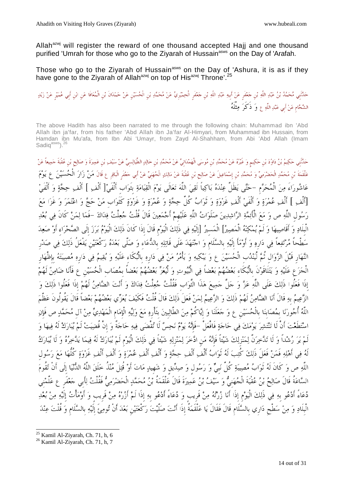Allah $a^{2}$  will register the reward of one thousand accepted Hajj and one thousand purified 'Umrah for those who go to the Ziyarah of Hussain<sup>asws</sup> on the Day of 'Arafah.

Those who go to the Ziyarah of Hussain<sup>asws</sup> on the Day of 'Ashura, it is as if they have gone to the Ziyarah of Allah<sup>azwj</sup> on top of His<sup>azwj</sup> Throne'.<sup>25</sup>

حَدَّنْنِي مُحَمَّدُ بْنُ عَبْدِ اللَّهِ بْنِ حَعْفَرٍ عَنْ أَبيهِ عَبْدِ اللَّهِ بْنِ حَعْفَرِ الْحِمْيَرِيِّ عَنْ مُحَمَّدٍ بْنِ الْحُسَيْنِ عَنْ حَمْدَالَ بْنِ الْمُعَافَا عَن ابْنِ أَبِي عُمَيْرِ عَنْ زَيْدٍ الشَّحَّامِ عَنْ أَبِي عَبْدِ اللَّهِ ع وَ ذَكَرَ مِثْلَهُ

The above Hadith has also been narrated to me through the following chain: Muhammad ibn 'Abd Allah ibn ja'far, from his father 'Abd Allah ibn Ja'far Al-Himyari, from Muhammad ibn Hussain, from Hamdan ibn Mu'afa, from Ibn Abi 'Umayr, from Zayd Al-Shahham, from Abi 'Abd Allah (Imam Sadiq<sup>asws</sup>).<sup>26</sup>

حَلَنَنِي حَكِيمُ بْنُ دَاوُدَ بْنِ حَكِيمٍ وَ غَيْرُهُ عَنْ مُحَمَّدٍ بْنِ مُوسَى الْهَمْدَانِيِّ عَنْ مُحَمَّدِ بْنِ حَكَيْد أَوْسَمَعْ الْهَمْدَانِيِّ عَنْ مُحَمَّدٍ بْنِ عُوسَكِي عَنْ مُحَمَّدٍ بْنِ عَلَيْهِ حَمَدًى بِ عَلْقَمَةَ بْنِ مُحَمَّدٍ الْحَضْرَمِيِّ وَ مُحَمَّدِ بْنِ إِسْمَاعِيلَ عَنْ صَالِحٍ بْنِ عُقْبَةَ عَنْ مَالِكٍ الْحُهَنِيِّ عَنْ أَبي حَعْفَر الْبَاقِر ع قَالَ مَنْ زَارَ الْحُسَبَيْنَ ع يَوْمَ عَاشُورَاءَ مِنَ الْمُحَرَّمِ -حَتَّى يَظَلَّ عِنْدَهُ بَاكِياً لَقِيَ اللَّهَ تَعَالَى يَوْمَ الْقِيَامَةِ بِثَوَاب أَلْفَىْ[ أَلْف ] أَلْف حِجَّةٍ وَ أَلْفَىْ [أَلْفِ ] أَلْفِ عُمْرَةٍ وَ أَلْفَىْ أَلْفٍ غَزْوَةٍ وَ تَوَابُ كُلِّ حِجَّةٍ وَ عُمْرَةٍ وَ غَزَاوَةٍ كَثَوَابٍ مَنْ حَجَّ وَ اعْتَمَرَ وَ غَزَا مَعَ رَسُولِ اللَّهِ ص وَ مَعَ الْأَئِمَّةِ الرَّاشِدِينَ صَلَوَاتُ اللَّهِ عَلَيْهِمْ أَجْمَعِينَ قَالَ قُلْتُ جُعِلْتُ فِدَاكَ –فَمَا لِمَنْ كَانَ فِي بُعْدِ الْبِلَادِ وَ أَقَاصِيهَا وَ لَمْ يُمْكِنْهُ الْمَصِيرُ] الْمَسيرُ [إِلَيْهِ فِي ذَلِكَ الْيَوْمِ قَالَ إِذَا كَانَ ذَلِكَ الْيَوْمُ بَرَزَ إِلَى الصَّحْرَاء أَوْ صَعِدَ سَطْحاً مُرْتَفِعاً فِي دَارِهِ وَ أَوْمَأَ إِلَيْهِ بِالسَّلَامِ وَ اجْتَهَدَ عَلَى قَاتِلِهِ بِالدُّعَاءِ وَ صَلَّى بَعْدَهُ رَكْعَتَيْنِ يَفْعَلُ ذَلِكَ فِي صَدْرِ النَّهَارِ قَبْلَ الزَّوَالِ ثُمَّ لْيَنْدُبِ الْحُسَيْنَ ع وَ يَبْكِيهِ وَ يَأْمُرُ مَنْ فِي دَارِهِ بِالْبُكَاءِ عَلَيْهِ وَ يُقِيمُ فِي دَارِهِ مُصِيبَتَهُ بِإِظْهَارِ الْجزعِ علَيه و يتلَاقَونَ بِالْبكَاءِ بعضهم بعضاً في الْبيوت و لْيعز بعضهم بعضاً بِمصابِ الْحسينِ ع فَأَنا ضامن لَهم إِذَا فَعلُوا ذَلك علَى اللَّه عز و جلَّ جميع هذَا الثَّوابِ فَقُلْت جعلْت فداك و أَنت الضامن لَهم إِذَا فَعلُوا ذَلك و الزَّعِيمُ بِهِ قَالَ أَنَا الضَّامِنُ لَهُمْ ذَلِكَ وَ الزَّعِيمُ لِمَنْ فَعَلَ ذَلِكَ قَالَ قُلْتُ فَكَيْفَ يُعَزِّي بَعْضُهُمْ بَعْضاً قَالَ يَقُولُونَ عَظَّمَ اللَّهُ أُجُورَنَا بِمُصَابِنَا بِالْحُسَيْنِ ع وَ جَعَلَنَا وَ إِيَّاكُمْ مِنَ الطَّالِبِينَ بِثَأْرِهِ مَعَ وَلِيِّهِ الْإِمَامِ الْمَهْدِيِّ مِنْ آلِ مُحَمَّدٍ ص فَإِنِ استطَعت أَنْ لَا تنتشر يومك في حاجة فَافْعلْ -فَإِنه يوم نحس لَا تقْضى فيه حاجةٌ و إِنْ قُضيت لَم يبارك لَه فيها و لَمْ يَرَ رُشْداً وَ لَا تَدَّخِرَنَّ لِمَنْزِلِكَ شَيْئاً فَإِنَّهُ مَنِ ادَّخَرَ لِمَنْزِلِهِ شَيْئاً فِي ذَلِكَ الْيَوْمِ لَمْ يُبَارَكْ لَهُ فِيمَا يَدَّخِرُهُ وَ لَا يُبَارَكُ لَهُ فِي أَهْلِهِ فَمَنْ فَعَلَ ذَلِكَ كُتِبَ لَهُ تَوَابُ أَلْفِ أَلْفِ حِجَّةٍ وَ أَلْفِ أَلْفِ عُمْرَةٍ وَ أَلْفِ أَلْفِ غَزْوَةٍ كُلُّهَا مَعَ رَسُول اللَّهِ ص وَ كَانَ لَهُ ثَوَابُ مُصِيبَةِ كُلِّ نَبِيٍّ وَ رَسُولٍ وَ صِدِّيقٍ وَ شَهيدٍ مَاتَ أَوْ قُتِلَ مُنْذُ خَلَقَ اللَّهُ الدُّنْيَا إِلَى أَنْ تَقُومَ السَّاعَةُ قَالَ صَالِحُ بْنُ عُقْبَةَ الْجُهَنِيُّ وَ سَيْفُ بْنُ عَمِيرَةَ قَالَ عَلْقَمَةُ بْنُ مُحَمَّدٍ الْحَضْرَمِيُّ فَقُلْتُ لِأَبِي جَعْفَرِ ع عَلِّمْني دُعَاءً أَدْعُو بِهِ فِي ذَلِكَ الْيَوْمِ إِذَا أَنَا زُرْتُهُ مِنْ قَرِيبٍ وَ دُعَاءً أَدْعُو بِهِ إِذَا لَمْ أَزُرْهُ مِنْ قَرِيبٍ وَ أَوْمَأْتُ إِلَيْهِ مِنْ بُعْدِ الْبِلَاد و من سطْحِ دارِي بِالسلَامِ قَالَ فَقَالَ يا علْقَمةُ إِذَا أَنت صلَّيت ركْعتينِ بعد أَنْ تومئَ إِلَيه بِالسلَامِ و قُلْت عند

<sup>-</sup><sup>25</sup> Kamil Al-Ziyarah, Ch. 71, h, 6

<sup>&</sup>lt;sup>26</sup> Kamil Al-Ziyarah, Ch. 71, h, 7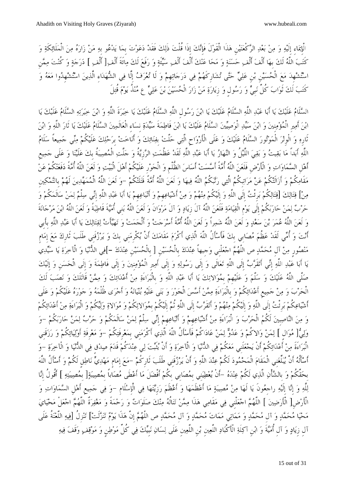الْإِيمَاءِ إِلَيْهِ وَ مِنْ بَعْدِ الرَّكْعَتَيْنِ هَذَا الْقَوْلَ فَإِنَّكَ إِذَا قُلْتَ ذَلِكَ فَقَدْ دَعَوْتَ بِمَا يَدْعُو بِهِ مَنْ زَارَهُ مِنَ الْمَلَائِكَةِ وَ كَتَبَ اللَّهُ لَكَ بِهَا أَلْفَ أَلْفِ حَسَنَةٍ وَ مَحَا عَنْكَ أَلْفَ أَلْفِ سَيِّئَةٍ وَ رَفَعَ لَكَ مِائَةَ أَلْفِ[ أَلْف ] دَرَجَةٍ وَ كُنْتَ مِمَّنِ اسْتُشْهِدَ مَعَ الْحُسَيْنِ بْنِ عَلِيٍّ حَتَّى تُشَارِكَهُمْ فِي دَرَجَاتِهِمْ وَ لَا تُعْرَفُ إِلَّا فِي الشُّهَدَاء الَّذِينَ اسْتُشْهِدُوا مَعَهُ وَ كَتَبَ لَكَ ثَوَابَ كُلِّ نَبِيٍّ وَ رَسُول وَ زِيَارَةِ مَنْ زَارَ الْحُسَيْنَ بْنَ عَلِيٍّ عِ مُنْذُ يَوْمَ قُتِلَ

السَّلَامُ عَلَيْكَ يَا أَبَا عَبْدِ اللَّهِ السَّلَامُ عَلَيْكَ يَا ابْنَ رَسُولِ اللَّهِ السَّلَامُ عَلَيْكَ يَا خِيَرَةِ اللَّهِ وَ ابْنَ خِيَرَتِهِ السَّلَامُ عَلَيْكَ يَا ابْنَ أَمِيرِ الْمُؤْمِنِينَ وَ ابْنَ سَيِّدِ الْوَصِيِّينَ السَّلَامُ عَلَيْكَ يَا ابْنَ فَاطِمَةَ سَيِّدَةِ نسَاء الْعَالَمِينَ السَّلَامُ عَلَيْكَ يَا ثَارَ اللَّهِ وَ ابْنَ ثَارِه و الْوِتر الْموتور السلَام علَيك و علَى الْأَرواحِ الَّتي حلَّت بِفنائك و أَناخت بِرحلك علَيكُم مني جميعاً سلَام اللَّهِ أَبداً مَا بَقِيتُ وَ بَقِيَ اللَّيْلُ وَ النَّهَارُ يَا أَبَا عَبْدِ اللَّهِ لَقَدْ عَظُمَتِ الرَّزِيَّةُ وَ جَلَّتِ الْمُصِيبَةُ بكَ عَلَيْنَا وَ عَلَى جَمِيعِ أَهْلِ السَّمَاوَاتِ وَ الْأَرْضِ فَلَعَنَ اللَّهُ أُمَّةً أَسَّسَتْ أَسَاسَ الظُّلْمِ وَ الْجَوْرِ عَلَيْكُمْ أَهْلَ الْبَيْتِ وَ لَعَنَ اللَّهُ أُمَّةً دَفَعَتْكُمْ عَنْ مَقَامِكُمْ وَ أَزَالَتْكُمْ عَنْ مَرَاتِبكُمُ الَّتِي رَتَّبَكُمُ اللَّهُ فِيهَا وَ لَعَنَ اللَّهُ أُمَّةً قَتَلَتْكُمْ –وَ لَعَنَ اللَّهُ الْمُمَهِّدِينَ لَهُمْ بِالتَّمْكِينِ مِنْ] قِتَالِكَ [قِتَالِكُمْ بَرِئْتُ إِلَى اللَّهِ وَ إِلَيْكُمْ مِنْهُمْ وَ مِنْ أَشْيَاعِهِمْ وَ أَتْباعِهِمْ يَا أَبَا عَبْدِ اللَّهِ إِنِّي سِلْمٌ لِمَنْ سَالَمَكُمْ وَ حرب لمن حاربكُم إِلَى يومِ الْقيامة فَلَعن اللَّه آلَ زِياد و آلَ مروانَ و لَعن اللَّه بنِي أُميةَ قَاطبةً و لَعن اللَّه ابن مرجانةَ وَ لَعَنَ اللَّهُ عُمَرَ بْنَ سَعْدٍ وَ لَعَنَ اللَّهُ شَمِراً وَ لَعَنَ اللَّهُ أُمَّةً أَسْرَجَتْ وَ أَلْجَمَتْ وَ تَهَيَّأَتْ لِقِتَالِكَ يَا أَبَا عَبْدِ اللَّهِ بِأَبِي أَنت و أُمي لَقَد عظُم مصابِي بِك فَأَسأَلُ اللَّه الَّذي أَكْرم مقَامك أَنْ يكْرِمنِي بِك و يرزقَنِي طَلَب ثَارِك مع إِمامٍ مَنْصُورِ مِنْ آلِ مُحَمَّدٍ ص اللَّهُمَّ اجْعَلْني وَجيهاً عِنْدَكَ بِالْحُسَيْنِ [ بِالْحُسَيْنِ عِنْدَكَ –]فِي الدُّنْيَا وَ الْآخِرَةِ يَا سَيِّدِي يا أَبا عبد اللَّه إِني أَتقَرب إِلَى اللَّه تعالَى و إِلَى رسوله و إِلَى أَميرِ الْمؤمنِين و إِلَى فَاطمةَ و إِلَى الْحسنِ و إِلَيك صلَّى اللَّه علَيك و سلَّم و علَيهِم بِموالاتك يا أَبا عبد اللَّه و بِالْبراءَة من أَعدائك و ممن قَاتلَك و نصب لَك الْحرب و من جميعِ أَعدائكُم و بِالْبراءَة ممن أَسس الْجور و بنى علَيه بنيانه و أَجرى ظُلْمه و جوره علَيكُم و علَى أَشْيَاعِكُمْ بَرئْتُ إِلَى اللَّهِ وَ إِلَيْكُمْ مِنْهُمْ وَ أَتَقَرَّبُ إِلَى اللَّهِ ثُمَّ إِلَيْكُمْ بِمُوَالاتِكُمْ وَ مُوَالاةِ وَلِيِّكُمْ وَ الْبَرَاءَةِ مِنْ أَعْدَائِكُمْ وَ مِنَ النَّاصِبِينَ لَكُمُ الْحَرْبَ وَ الْبَرَاءَةِ مِنْ أَشْيَاعِهِمْ وَ أَتْبَاعِهِمْ إِنِّي سِلْمٌ لِمَنْ سَالَمَكُمْ وَ حَرْبٌ لِمَنْ حَارَبَكُمْ –وَ وَلِيُّ[ مُوَال ] لِمَنْ وَالاكُمْ وَ عَدُوٌّ لِمَنْ عَادَاكُمْ فَأَسْأَلُ اللَّهَ الَّذِي أَكْرَمَنِي بِمَعْرِفَتِكُمْ –وَ مَعْرِفَةِ أَوْلِيَائِكُمْ وَ رَزَقَنِي الْبَرَاءَةَ مِنْ أَعْدَائِكُمْ أَنْ يَجْعَلَنِي مَعَكُمْ فِي الدُّنْيَا وَ الْآخِرَةِ وَ أَنْ يُتَبِّتَ لِي عِنْدَكُمْ قَدَمَ صِدْقٍ فِي الدُّنْيَا وَ الْآخِرَةِ -وَ أَسأَلُه أَنْ يبلِّغنِي الْمقَام الْمحمود لَكُم عند اللَّه و أَنْ يرزقَنِي طَلَب ثَارِكُم -مع إِمامٍ مهدي ناطقٍ لَكُم و أَسأَلُ اللَّه بِحقِّكُم و بِالشأْن الَّذي لَكُم عنده -أَنْ يعطينِي بِمصابِي بِكُم أَفْضلَ ما أَعطَى مصاباً بِمصيبة ]بِمصيبته [ أَقُولُ إِنا للَّه و إِنا إِلَيه راجِعونَ يا لَها من مصيبة ما أَعظَمها و أَعظَم رزِيتها في الْإِسلَامِ -و في جميعِ أَهلِ السماوات و الْأَرضِ[ الْأَرضين [ اللَّهم اجعلْنِي في مقَامي هذَا ممن تنالُه منك صلَوات و رحمةً و مغفرةٌ اللَّهم اجعلْ محياي مَحْيَا مُحَمَّدٍ وَ آلِ مُحَمَّدٍ وَ مَمَاتِي مَمَاتَ مُحَمَّدٍ وَ آلِ مُحَمَّدٍ ص اللَّهُمَّ إِنَّ هَذَا يَوْمٌ تَنَزَّلَتْ] تَنْزِلُ [فِيهِ اللَّعْنَةُ عَلَى آلِ زِياد و آلِ أُميةَ و ابنِ آكلَة الْأَكْباد اللَّعينِ بنِ اللَّعينِ علَى لسان نبِيك في كُلِّ موطنٍ و موقف وقَف فيه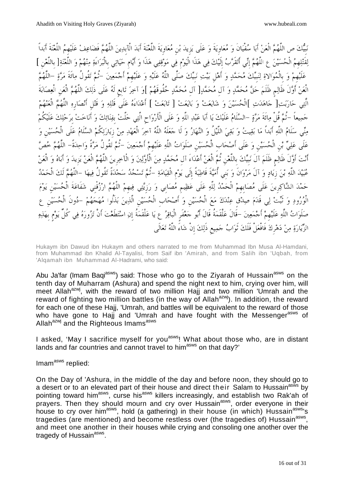نبِيك ص اللَّهم الْعن أَبا سفْيانَ و معاوِيةَ و علَى يزِيد بنِ معاوِيةَ اللَّعنةَ أَبد الْآبِدين اللَّهم فَضاعف علَيهِم اللَّعنةَ أَبداً لِقَتْلِهمُ الْحُسَيْنَ عِ اللَّهُمَّ إِنِّي أَتَقَرَّبُ إِلَيْكَ فِي هَذَا الْيَوْمِ فِي مَوْقِفِي هَذَا وَ أَيَّامِ حَيَاتِي بِالْبَرَاءَةِ مِنْهُمْ وَ اللَّعْنَةِ[ بِاللَّعْنِ ] عَلَيْهِمْ وَ بِالْمُوَالاةِ لِنَبِيِّكَ مُحَمَّدٍ وَ أَهْلِ بَيْتِ نَبِيِّكَ صَلَّى اللَّهُ عَلَيْهِ وَ عَلَيْهِمْ أَجْمَعِينَ –ثُمَّ تَقُولُ مِائَةَ مَرَّةٍ –اللَّهُمَّ الْعَنْ أَوَّلَ ظَالِمٍ ظَلَمَ حَقَّ مُحَمَّدٍ وَ آلِ مُحَمَّدٍ[ آل مُحَمَّدٍ حُقُوقَهُمْ ]وَ آخِرَ تَابِعٍ لَهُ عَلَى ذَلِكَ اللَّهُمَّ الْعَنِ الْعِصَابَةَ الَّتِي حَارَبَتِ[ حَاهَدَتِ ]الْحُسَيْنَ وَ شَايَعَتْ وَ بَايَعَتْ [ تَابَعَتْ ] أَعْدَاءَهُ عَلَى قَتْلِهِ وَ قَتْل أَنْصَارِهِ اللَّهُمَّ الْعَنْهُمْ جميعاً -ثُم قُلْ مائَةَ مرة -السلَام علَيك يا أَبا عبد اللَّه و علَى الْأَرواحِ الَّتي حلَّت بِفنائك و أَناخت بِرحلك علَيكُم مني سلَام اللَّه أَبداً ما بقيت و بقي اللَّيلُ و النهار و لَا جعلَه اللَّه آخر الْعهد من زِيارتكُم السلَام علَى الْحسينِ و عَلَى عَلِيٍّ بْنِ الْحُسَيْنِ وَ عَلَى أَصْحَابِ الْحُسَيْنِ صَلَوَاتُ اللَّهِ عَلَيْهِمْ أَجْمَعِينَ –ثُمَّ تَقُولُ مَرَّةً وَاحِدَةً– اللَّهُمَّ خُصَّ أَنت أَولَ ظَالمٍ ظَلَم آلَ نبِيك بِاللَّعنِ ثُم الْعن أَعداءَ آلِ محمد من الْأَولين و الْآخرِين اللَّهم الْعن يزِيد و أَباه و الْعن عُبَيْدَ اللَّهِ بْنَ زِيَادٍ وَ آلَ مَرْوَانَ وَ بَنى أُمَيَّةَ قَاطِبَةً إِلَى يَوْمِ الْقِيَامَةِ –تُمَّ تَسْجُدُ سَجْدَةً تَقُولُ فِيهَا –اللَّهُمَّ لَكَ الْحَمْدُ حَمْدَ الشَّاكِرِينَ عَلَى مُصَابِهِمْ الْحَمْدُ لِلَّهِ عَلَى عَظِيمِ مُصَابِي وَ رَزِيَّتِي فِيهِمْ اللَّهُمَّ ارْزُقْنِي شَفَاعَةَ الْحُسَيْنِ يَوْمَ الْوُرُودِ وَ تَبِّتْ لِي قَدَمَ صِدْقٍ عِنْدَكَ مَعَ الْحُسَيْنِ وَ أَصْحَابِ الْحُسَيْنِ الَّذِينَ بَذَلُوا مُهَجَهُمْ –دُونَ الْحُسَيْنِ عِ صَلَوَاتُ اللَّهِ عَلَيْهِمْ أَجْمَعِينَ –قَالَ عَلْقَمَةُ قَالَ أَبُو جَعْفَرِ الْبَاقِرُ ع يَا عَلْقَمَةُ إِنِ اسْتَطَعْتَ أَنْ تَزُورَهُ فِي كُلِّ يَوْمٍ بِهَذِهِ الزيارة من دهرِك فَافْعلْ فَلَك ثَواب جميعِ ذَلك إِنْ شاءَ اللَّه تعالَى

Hukaym ibn Dawud ibn Hukaym and others narrated to me from Muhammad Ibn Musa Al-Hamdani, from Muhammad ibn Khalid Al-Tayalisi, from Saif ibn 'Amirah, and from Salih ibn 'Uqbah, from 'Alqamah ibn Muhammad Al-Hadrami, who said:

Abu Ja'far (Imam Baqi<sup>asws</sup>) said: Those who go to the Ziyarah of Hussain<sup>asws</sup> on the tenth day of Muharram (Ashura) and spend the night next to him, crying over him, will meet Allah<sup>azwj</sup>, with the reward of two million Hajj and two million 'Umrah and the reward of fighting two million battles (in the way of Allah<sup>azwj</sup>). In addition, the reward for each one of these Haij, 'Umrah, and battles will be equivalent to the reward of those who have gone to Hajj and 'Umrah and have fought with the Messenger<sup>asws</sup> of Allah<sup>azwj</sup> and the Righteous Imams<sup>asws</sup>

I asked, 'May I sacrifice myself for you<sup>asws</sup>! What about those who, are in distant lands and far countries and cannot travel to him<sup>asws</sup> on that day?'

#### Imam<sup>asws</sup> replied:

On the Day of 'Ashura, in the middle of the day and before noon, they should go to a desert or to an elevated part of their house and direct their Salam to Hussain<sup>asws</sup> by pointing toward him<sup>asws</sup>, curse his<sup>asws</sup> killers increasingly, and establish two Rak'ah of prayers. Then they should mourn and cry over Hussain<sup>asws</sup>, order everyone in their house to cry over him<sup>asws</sup>, hold (a gathering) in their house (in which) Hussain<sup>asws</sup>'s tragedies (are mentioned) and become restless over (the tragedies of) Hussain<sup>asws</sup>, and meet one another in their houses while crying and consoling one another over the tragedy of Hussain<sup>asws</sup>.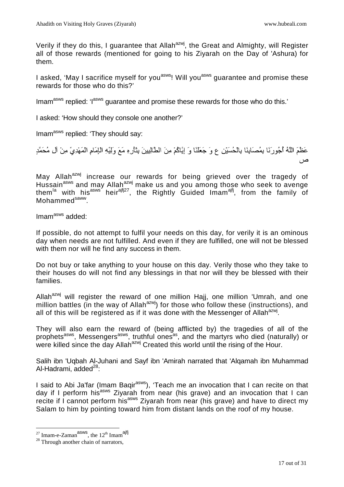Verily if they do this, I guarantee that Allah<sup>azwj</sup>, the Great and Almighty, will Register all of those rewards (mentioned for going to his Ziyarah on the Day of 'Ashura) for them.

I asked, 'May I sacrifice myself for you<sup>asws</sup>! Will you<sup>asws</sup> guarantee and promise these rewards for those who do this?'

Imam<sup>asws</sup> replied: 'l<sup>asws</sup> guarantee and promise these rewards for those who do this.'

I asked: 'How should they console one another?'

Imam<sup>asws</sup> replied: 'They should say:

عَظَمَ اللّهُ أُجُو رَنَا بِمُصَابِنَا بِالْحُسَيْنِ ع وَ جَعَلْنَا وَ اِيَّاكُمْ مِنَ الطَّالِبِينَ بِتَأْرِهِ مَعَ وَلِيِّهِ الْإِمَامِ الْمَهْدِيِّ مِنْ آلِ مُحَمَّدِ ص

May Allah<sup>azwj</sup> increase our rewards for being grieved over the tragedy of Hussain<sup>asws</sup> and may Allah<sup>azwj</sup> make us and you among those who seek to avenge themla with hisasws heirajfj27, the Rightly Guided Imamajfj, from the family of Mohammed<sup>saww</sup>.

Imam<sup>asws</sup> added:

If possible, do not attempt to fulfil your needs on this day, for verily it is an ominous day when needs are not fulfilled. And even if they are fulfilled, one will not be blessed with them nor will he find any success in them.

Do not buy or take anything to your house on this day. Verily those who they take to their houses do will not find any blessings in that nor will they be blessed with their families.

Allah $a^{2x}$  will register the reward of one million Hajj, one million 'Umrah, and one million battles (in the way of Allah<sup>azwj</sup>) for those who follow these (instructions), and all of this will be registered as if it was done with the Messenger of Allah $^{azwi}$ .

They will also earn the reward of (being afflicted by) the tragedies of all of the prophets<sup>asws</sup>, Messengers<sup>asws</sup>, truthful ones<sup>as</sup>, and the martyrs who died (naturally) or were killed since the day Allah<sup>azwj</sup> Created this world until the rising of the Hour.

Salih ibn 'Uqbah Al-Juhani and Sayf ibn 'Amirah narrated that 'Alqamah ibn Muhammad Al-Hadrami, added $^{28}$ :

I said to Abi Ja'far (Imam Bagir<sup>asws</sup>), 'Teach me an invocation that I can recite on that day if I perform his<sup>asws</sup> Ziyarah from near (his grave) and an invocation that I can recite if I cannot perform his<sup>asws</sup> Ziyarah from near (his grave) and have to direct my Salam to him by pointing toward him from distant lands on the roof of my house.

<sup>&</sup>lt;sup>27</sup> Imam-e-Zaman<sup>asws</sup>, the 12<sup>th</sup> Imam<sup>ajfj</sup>

<sup>&</sup>lt;sup>28</sup> Through another chain of narrators,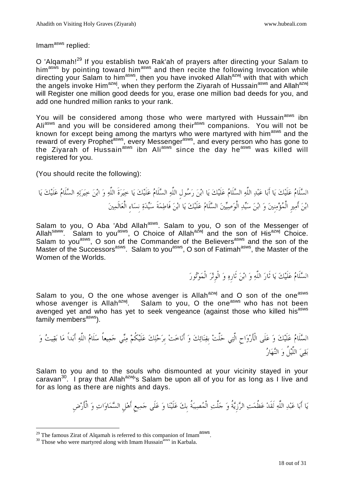Imam<sup>asws</sup> replied:

O 'Alqamah!<sup>29</sup> If you establish two Rak'ah of prayers after directing your Salam to him<sup>asws</sup> by pointing toward him<sup>asws</sup> and then recite the following Invocation while directing your Salam to him<sup>asws</sup>, then you have invoked Allah<sup>azwj</sup> with that with which the angels invoke Him<sup>azwj</sup>, when they perform the Ziyarah of Hussain<sup>asws</sup> and Allah<sup>azwj</sup> will Register one million good deeds for you, erase one million bad deeds for you, and add one hundred million ranks to your rank.

You will be considered among those who were martyred with Hussain<sup>asws</sup> ibn Ali<sup>asws</sup> and you will be considered among their<sup>asws</sup> companions. You will not be known for except being among the martyrs who were martyred with him<sup>asws</sup> and the reward of every Prophet<sup>asws</sup>, every Messenger<sup>asws</sup>, and every person who has gone to the Ziyarah of Hussain<sup>asws</sup> ibn Ali<sup>asws</sup> since the day he<sup>asws</sup> was killed will registered for you.

(You should recite the following):

السلَامعلَيكياأَباعبداللَّهالسلَامعلَيكياابنرسولِاللَّهالسلَامعلَيكياخيرةَاللَّهوابنخيرتهالسلَامعلَيكيا ابنأَميرِالْمؤمنِينوابنسيدالْوصيينالسلَامعلَيكياابنفَاطمةَسيدةنِساءِالْعالَمين

Salam to you, O Aba 'Abd Allah<sup>asws</sup>. Salam to you, O son of the Messenger of Allah<sup>saww</sup>. Salam to you<sup>asws</sup>, O Choice of Allah<sup>azwj</sup> and the son of His<sup>azwj</sup> Choice. Salam to you<sup>asws</sup>, O son of the Commander of the Believers<sup>asws</sup> and the son of the Master of the Successors<sup>asws</sup>. Salam to you<sup>asws</sup>, O son of Fatimah<sup>asws</sup>, the Master of the Women of the Worlds.

السَّلَامُ عَلَيْكَ يَا ثَارَ اللَّهِ وَ ابْنَ ثَارِهِ وَ الْوِتْرَ الْمَوْتُورَ

Salam to you, O the one whose avenger is Allah $a^{2}$  and O son of the one<sup>asws</sup> whose avenger is Allah<sup>azwj</sup>. Salam to you, O the one<sup>asws</sup> who has not been avenged yet and who has yet to seek vengeance (against those who killed his<sup>asws</sup> family members $a<sup>asws</sup>$ ).

السلَامعلَيكوعلَىالْأَرواحِالَّتيحلَّتبِفنائكوأَناختبِرحلكعلَيكُممنيجميعاًسلَاماللَّهأَبداًمابقيتو بقياللَّيلُوالنهار

Salam to you and to the souls who dismounted at your vicinity stayed in your caravan<sup>30</sup>. I pray that Allah<sup>azwj</sup>'s Salam be upon all of you for as long as I live and for as long as there are nights and days.

يَا أَبَا عَبْدِ اللَّهِ لَقَدْ عَظُمَتِ الرَّزِيَّةُ وَ جَلَّتِ الْمُصِيبَةُ بكَ عَلَيْنَا وَ عَلَى جَمِيعِ أَهْلِ السَّمَاوَاتِ وَ الْأَرْضِ

<sup>&</sup>lt;sup>29</sup> The famous Zirat of Alqamah is referred to this companion of Imam<sup>asws</sup>.

 $30$  Those who were martyred along with Imam Hussain<sup>asws</sup> in Karbala.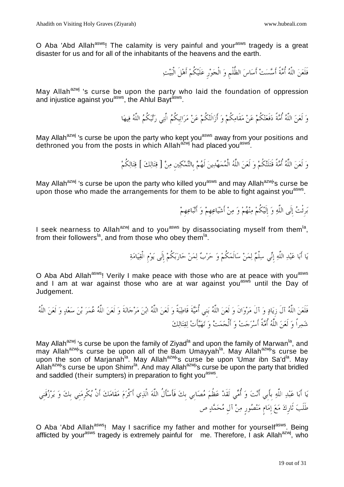O Aba 'Abd Allah<sup>asws</sup>! The calamity is very painful and your<sup>asws</sup> tragedy is a great disaster for us and for all of the inhabitants of the heavens and the earth.

فَلَعَنَ اللَّهُ أُمَّةً أَسَّسَتْ أَسَاسَ الظُّلْمِ وَ الْجَوْرِ عَلَيْكُمْ أَهْلَ الْبَيْتِ

May Allah<sup>azwj</sup> 's curse be upon the party who laid the foundation of oppression and injustice against you<sup>asws</sup>, the Ahlul Bayt<sup>asws</sup>.

وَ لَعَنَ اللَّهُ أُمَّةً دَفَعَتْكُمْ عَنْ مَقَامِكُمْ وَ أَزَالَتْكُمْ عَنْ مَرَاتِبكُمُ الَّتِي رَتَّبَكُمُ اللَّهُ فِيهَا

May Allah<sup>azwj</sup> 's curse be upon the party who kept you<sup>asws</sup> away from your positions and dethroned you from the posts in which Allah<sup>azwj</sup> had placed you<sup>asws</sup>.

وَ لَعَنَ اللَّهُ أُمَّةً قَتَلَتْكُمْ وَ لَعَنَ اللَّهُ الْمُمَهِّدِينَ لَهُمْ بالتَّمْكِين مِنْ [ قِتَالِكَ ] قِتَالِكُمْ

May Allah<sup>azwj</sup> 's curse be upon the party who killed you<sup>asws</sup> and may Allah<sup>azwj</sup>'s curse be upon those who made the arrangements for them to be able to fight against you<sup>asws</sup>.

بَرِئْتُ إِلَى اللَّهِ وَ إِلَيْكُمْ مِنْهُمْ وَ مِنْ أَشْيَاعِهِمْ وَ أَتْبَاعِهِمْ

I seek nearness to Allah<sup>azwj</sup> and to you<sup>asws</sup> by disassociating myself from them<sup>la</sup>, from their followers<sup>la</sup>, and from those who obey them<sup>la</sup>.

يَا أَبَا عَبْدِ اللَّهِ إِنِّي سِلْمٌ لِمَنْ سَالَمَكُمْ وَ حَرْبٌ لِمَنْ حَارَبَكُمْ إِلَى يَوْمِ الْقِيَامَةِ

O Aba Abd Allah<sup>asws</sup>! Verily I make peace with those who are at peace with you<sup>asws</sup> and I am at war against those who are at war against you<sup>asws</sup> until the Day of Judgement.

فَلَعناللَّهآلَزِيادوآلَمروانَولَعناللَّه نِيب أُميةَقَاطبةًولَعناللَّهابنمرجانةَولَعناللَّهعمربنسعدولَعناللَّه شمراًولَعناللَّهأُمةًأَسرجتوأَلْجمتوتهيأَتلقتالك

May Allah<sup>azwj</sup> 's curse be upon the family of Ziyad<sup>la</sup> and upon the family of Marwan<sup>la</sup>, and may Allah<sup>azwj</sup>'s curse be upon all of the Bam Umayyah<sup>la</sup>. May Allah<sup>azwj</sup>'s curse be upon the son of Marjanah<sup>la</sup>. May Allah<sup>azwj</sup>'s curse be upon 'Umar ibn Sa'd<sup>la</sup>. May Allah<sup>azwj</sup>'s curse be upon Shimr<sup>la</sup>. And may Allah<sup>azwj</sup>'s curse be upon the party that bridled and saddled (their sumpters) in preparation to fight you<sup>asws</sup>.

ياأَباعبداللَّهبِأَبِيأَنتوأُميلَقَدعظُممصابِيبِكفَأَسأَلُاللَّهالَّذيأَكْرممقَامكأَنْيكْرِمنِيبِكويرزقَنِي طَلَبثَارِكمعإِمامٍمنصورٍمنآلِمحمدص

O Aba 'Abd Allah<sup>asws</sup>! May I sacrifice my father and mother for yourself<sup>asws</sup>. Being afflicted by your<sup>asws</sup> tragedy is extremely painful for me. Therefore, I ask Allah<sup>azwj</sup>, who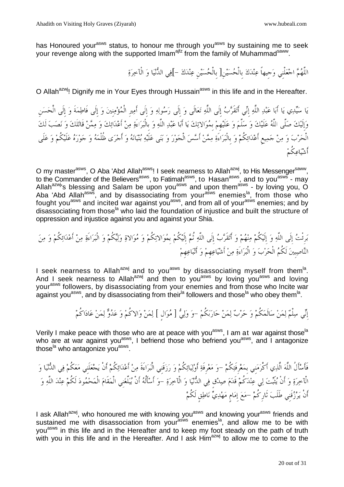has Honoured your<sup>asws</sup> status, to honour me through you<sup>asws</sup> by sustaining me to seek your revenge along with the supported Imam<sup>ajfz</sup> from the family of Muhammad<sup>saww</sup>.

اللَّهُمَّ اجْعَلْنِي وَجيهاً عِنْدَكَ بِالْحُسَيْنِ[ بِالْحُسَيْنِ عِنْدَكَ –]فِي الدُّنْيَا وَ الْآخِرَةِ

O Allah<sup>azwj</sup>! Dignify me in Your Eyes through Hussain<sup>asws</sup> in this life and in the Hereafter.

يَا سَيِّدِي يَا أَبَا عَبْدِ اللَّهِ إِنِّي أَتَقَرَّبُ إِلَى اللَّهِ تَعَالَى وَ إِلَى رَسُولِهِ وَ إِلَى أَمِيرِ الْمُؤْمِنِينَ وَ إِلَى فَاطِمَةَ وَ إِلَى الْحَسَنِ وإِلَيك صلَّى اللَّه علَيك و سلَّم و علَيهِم بِموالاتك يا أَبا عبد اللَّه و بِالْبراءَة من أَعدائك و ممن قَاتلَك و نصب لَك الْحرب و من جميعِ أَعدائكُم و بِالْبراءَة ممن أَسس الْجور و بنى علَيه بنيانه و أَجرى ظُلْمه و جوره علَيكُم و علَى أَشياعكُم

O my master<sup>asws</sup>, O Aba 'Abd Allah<sup>asws</sup>! I seek nearness to Allah<sup>azwj</sup>, to His Messenger<sup>saww</sup>, to the Commander of the Believers<sup>asws</sup>, to Fatimah<sup>asws</sup>, to Hasan<sup>asws</sup>, and to you<sup>asws</sup> - may Allah<sup>azwj</sup>'s blessing and Salam be upon you<sup>asws</sup> and upon them<sup>asws</sup> - by loving you, O Aba 'Abd Allah<sup>asws</sup>, and by disassociating from your<sup>asws</sup> enemies<sup>la</sup>, from those who fought you<sup>asws</sup> and incited war against you<sup>asws</sup>, and from all of your<sup>asws</sup> enemies; and by disassociating from those<sup>la</sup> who laid the foundation of injustice and built the structure of oppression and injustice against you and against your Shia.

برِئْت إِلَى اللَّه و إِلَيكُم منهم و أَتقَرب إِلَى اللَّه ثُم إِلَيكُم بِموالاتكُم و موالاة وليكُم و الْبراءَة من أَعدائكُم و من الناصبِين لَكُم الْحرب و الْبراءَة من أَشياعهِم و أَتباعهِم

I seek nearness to Allah<sup>azwj</sup> and to you<sup>asws</sup> by disassociating myself from them<sup>la</sup>. And I seek nearness to Allah<sup>azwj</sup> and then to you<sup>asws</sup> by loving you<sup>asws</sup> and loving your<sup>asws</sup> followers, by disassociating from your enemies and from those who Incite war against you<sup>asws</sup>, and by disassociating from their<sup>la</sup> followers and those<sup>la</sup> who obey them<sup>la</sup>.

إِنِّي سِلْمٌ لِمَنْ سَالَمَكُمْ وَ حَرْبٌ لِمَنْ حَارَبَكُمْ -وَ وَلِيُّ [ مُوَالٍ ] لِمَنْ وَالاكُمْ وَ عَدُوٌّ لِمَنْ عَادَاكُمْ

Verily I make peace with those who are at peace with you<sup>asws</sup>, I am at war against those<sup>la</sup> who are at war against you<sup>asws</sup>, I befriend those who befriend you<sup>asws</sup>, and I antagonize those<sup>la</sup> who antagonize you<sup>asws</sup>.

فَأَسأَلُ اللَّه الَّذي أَكْرمنِي بِمعرِفَتكُم -و معرِفَة أَوليائكُم و رزقَنِي الْبراءَةَ من أَعدائكُم أَنْ يجعلَنِي معكُم في الدنيا و الْآخرة و أَنْ يثَبت لي عندكُم قَدم صدقٍ في الدنيا و الْآخرة -و أَسأَلُه أَنْ يبلِّغنِي الْمقَام الْمحمود لَكُم عند اللَّه و أَنْ يَرْزُقَني طَلَبَ ثَارِكُمْ –مَعَ إِمَامٍ مَهْدِيٍّ نَاطِقٍ لَكُمْ

I ask Allah<sup>azwj</sup>, who honoured me with knowing you<sup>asws</sup> and knowing your<sup>asws</sup> friends and sustained me with disassociation from your<sup>asws</sup> enemies<sup>la</sup>, and allow me to be with you<sup>asws</sup> in this life and in the Hereafter and to keep my foot steady on the path of truth with you in this life and in the Hereafter. And I ask Him<sup>azwj</sup> to allow me to come to the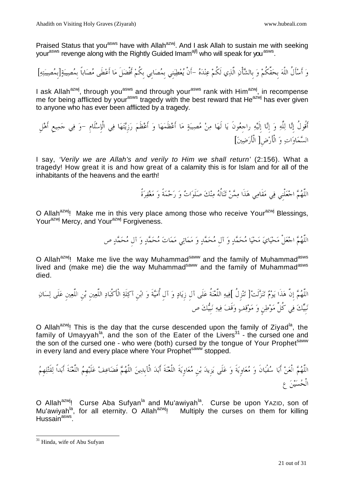Praised Status that you<sup>asws</sup> have with Allah<sup>azwj</sup>. And I ask Allah to sustain me with seeking your<sup>asws</sup> revenge along with the Rightly Guided Imam<sup>ajfj</sup> who will speak for you<sup>asws</sup>.

و أَسأَلُ اللَّه بِحقِّكُم و بِالشأْن الَّذي لَكُم عنده -أَنْ يعطينِي بِمصابِي بِكُم أَفْضلَ ما أَعطَى مصاباً بِمصيبة ]بِمصيبته[

I ask Allah<sup>azwj</sup>, through you<sup>asws</sup> and through your<sup>asws</sup> rank with Him<sup>azwj</sup>, in recompense me for being afflicted by your<sup>asws</sup> tragedy with the best reward that He<sup>azwj</sup> has ever given to anyone who has ever been afflicted by a tragedy.

 أَقُولُ إِنا للَّه و إِنا إِلَيه راجِعونَ يا لَها من مصيبة ما أَعظَمها و أَعظَم رزِيتها في الْإِسلَامِ -و في جميعِ أَهلِ السماوات و الْأَرضِ[ الْأَرضين[

I say, 'Verily we are Allah's and verily to Him we shall return' (2:156). What a tragedy! How great it is and how great of a calamity this is for Islam and for all of the inhabitants of the heavens and the earth!

اللَّهم اجعلْنِي في مقَامي هذَا ممن تنالُه منك صلَوات و رحمةً و مغفرةٌ

O Allah<sup>azwj</sup>! Make me in this very place among those who receive Your<sup>azwj</sup> Blessings, Your<sup>azwj</sup> Mercy, and Your<sup>azwj</sup> Forgiveness.

اللَّهُمَّ اجْعَلْ مَحْيَايَ مَحْيَا مُحَمَّدٍ وَ آلِ مُحَمَّدٍ وَ مَمَاتِي مَمَاتَ مُحَمَّدٍ وَ آلِ مُحَمَّدٍ ص

O Allah<sup>azwj</sup>! Make me live the way Muhammad<sup>saww</sup> and the family of Muhammad<sup>asws</sup> lived and (make me) die the way Muhammad<sup>saww</sup> and the family of Muhammad<sup>asws</sup> died.

اللَّهم إِنَّ هذَا يوم تنزلَت ]تنزِلُ ]فيه اللَّعنةُ علَى آلِ زِياد و آلِ أُميةَ و ابنِ آكلَة الْأَكْباد اللَّعينِ بنِ اللَّعينِ علَى لسان نبِيك في كُلِّ موطنٍ و موقف وقَف فيه نبِيك ص

O Allah<sup>azwj</sup>! This is the day that the curse descended upon the family of Ziyad<sup>la</sup>, the family of Umayyah<sup>la</sup>, and the son of the Eater of the Livers<sup>31</sup> - the cursed one and the son of the cursed one - who were (both) cursed by the tongue of Your Prophet<sup>saww</sup> in every land and every place where Your Prophet<sup>saww</sup> stopped.

اللَّهم الْعن أَبا سفْيانَ و معاوِيةَ و علَى يزِيد بنِ معاوِيةَ اللَّعنةَ أَبد الْآبِدين اللَّهم فَضاعف علَيهِم اللَّعنةَ بداًأَ لقَتلهِم الْحسين ع

O Allah<sup>azwj</sup>! Curse Aba Sufyan<sup>la</sup> and Mu'awiyah<sup>la</sup>. Curse be upon YAZID, son of Mu'awiyah<sup>la</sup>, for all eternity. O Allah<sup>azwj</sup>! Multiply the curses on them for killing Hussain<sup>asws</sup>.

<sup>&</sup>lt;sup>31</sup> Hinda, wife of Abu Sufyan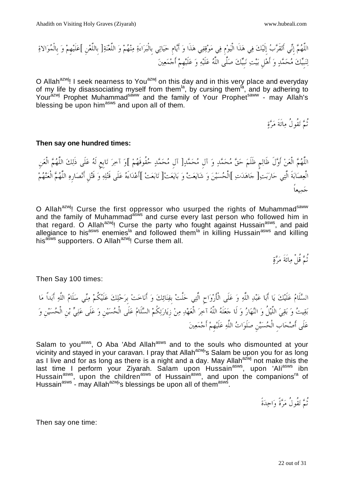اللَّهمإِنيأَتقَربإِلَيكفي ذَاه الْيومِفيموقفيهذَاوأَيامِحياتيبِالْبراءَةمنهمواللَّعنةبِاللَّعنِ علَيهِموبِالْموالاة لنبِيكمحمدوأَهلِبيتنبِيكصلَّىاللَّهعلَيهوعلَيهِمأَجمعين

O Allah<sup>azwj</sup>! I seek nearness to You<sup>azwj</sup> on this day and in this very place and everyday of my life by disassociating myself from them<sup>la</sup>, by cursing them<sup>la</sup>, and by adhering to Your<sup>azwj</sup> Prophet Muhammad<sup>saww</sup> and the family of Your Prophet<sup>saww</sup> - may Allah's blessing be upon him<sup>asws</sup> and upon all of them.

ثُمثَ تَقُولُ مِائَةَ مَرَّةٍ

#### **Then say one hundred times:**

اللَّهُمَّ الْعَنْ أَوَّلَ ظَالِم ظَلَمَ حَقَّ مُحَمَّدٍ وَ آل مُحَمَّدٍ[ آل مُحَمَّدٍ حُقُوقَهُمْ ]وَ آخِرَ تَابِع لَهُ عَلَى ذَلِكَ اللَّهُمَّ الْعَنِ الْعِصَابَةَ الَّتِي حَارَبَت [ حَاهَدَتِ ]الْحُسَيْنَ وَ شَايَعَتْ وَ بَايَعَتْ[ تَابَعَتْ ]أَعْدَاءَهُ عَلَى قَتْلِهِ وَ قَتْل أَنْصَارِهِ اللَّهُمَّ الْعَنْهُمْ جميعاً

O Allah<sup>azwj</sup>! Curse the first oppressor who usurped the rights of Muhammad<sup>saww</sup> and the family of Muhammad<sup>asws</sup> and curse every last person who followed him in that regard. O Allah<sup>azwj</sup>! Curse the party who fought against Hussain<sup>asws</sup>, and paid allegiance to his<sup>asws</sup> enemies<sup>la</sup> and followed them<sup>la</sup> in killing Hussain<sup>asws</sup> and killing his<sup>asws</sup> supporters. O Allah<sup>azwj</sup>! Curse them all.

ثُمَّ قُلْ مِائَةَ مَرَّةٍ

Then Say 100 times:

السَّلَامُ عَلَيْكَ يَا أَبَا عَبْدِ اللَّهِ وَ عَلَى الْأَرْوَاحِ الَّتِي حَلَّتْ بفِنَائِكَ وَ أَنَاخَتْ برَحْلِكَ عَلَيْكُمْ مِنِّي سَلَامُ اللَّهِ أَبَداً مَا بَقِيتُ وَ بَقِيَ اللَّيْلُ وَ النَّهَارُ وَ لَا حَعَلَهُ اللَّهُ آخِرَ الْعَهْدِ مِنْ زِيَارَتِكُمْ السَّلَامُ عَلَى الْحُسَيْنِ وَ عَلَى عَلِيٍّ بْنِ الْحُسَيْنِ وَ عَلَى أَصْحَابِ الْحُسَيْنِ صَلَوَاتُ اللَّهِ عَلَيْهِمْ أَجْمَعِينَ

Salam to you<sup>asws</sup>, O Aba 'Abd Allah<sup>asws</sup> and to the souls who dismounted at your vicinity and stayed in your caravan. I pray that Allah<sup>azwj</sup>'s Salam be upon you for as long as I live and for as long as there is a night and a day. May Allah<sup>azwj</sup> not make this the last time I perform your Ziyarah. Salam upon Hussain<sup>asws</sup>, upon 'Ali<sup>asws</sup> ibn Hussain<sup>asws</sup>, upon the children<sup>asws</sup> of Hussain<sup>asws</sup>, and upon the companions<sup>ra</sup> of Hussain<sup>asws</sup> - may Allah<sup>azwj</sup>'s blessings be upon all of them<sup>asws</sup>.

ثُمتقُولُمرةًواحدةً

Then say one time: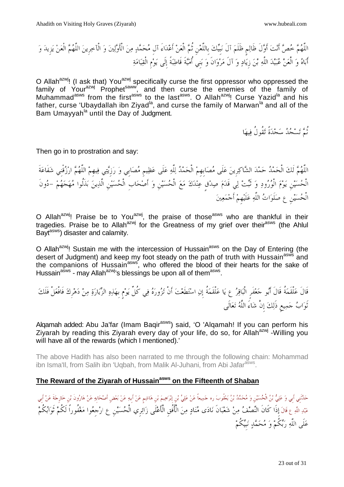اللَّهم خص أَنت أَولَ ظَالمٍ ظَلَم آلَ نبِيك بِاللَّعنِ ثُم الْعن أَعداءَ آلِ محمد من الْأَولين و الْآخرِين اللَّهم الْعن يزِيد و أَباه و الْعن عبيد اللَّه بن زِياد و آلَ مروانَ و بنِي أُميةَ قَاطبةً ىإِلَ يومِ الْقيامة

O Allah<sup>azwj</sup>! (I ask that) You<sup>azwj</sup> specifically curse the first oppressor who oppressed the family of Your<sup>azwj</sup> Prophet<sup>saww</sup>, and then curse the enemies of the family of Muhammad<sup>asws</sup> from the first<sup>asws</sup> to the last<sup>asws</sup>. O Allah<sup>azwj</sup>! Curse Yazid<sup>la</sup> and his father, curse 'Ubaydallah ibn Ziyad<sup>la</sup>, and curse the family of Marwan<sup>la</sup> and all of the Bam Umayyah<sup>la</sup> until the Day of Judgment.

ثُمَّ تَسْجُدُ سَجْدَةً تَقُولُ فِيهَا

Then go in to prostration and say:

اللَّهُمَّ لَكَ الْحَمْدُ حَمْدَ الشَّاكِرِينَ عَلَى مُصَابِهِمْ الْحَمْدُ لِلَّهِ عَلَى عَظِيمِ مُصَابِي وَ رَزِيَّتِي فِيهِمْ اللَّهُمَّ ارْزُقْنِي شَفَاعَةَ الْحسينِ يوم الْورود و ثَبت لي قَدم صدقٍ عندك مع الْحسينِ و أَصحابِ الْحسينِ الَّذين بذَلُوا مهجهم -دونَ الْحُسَيْنِ عِ صَلَوَاتُ اللَّهِ عَلَيْهِمْ أَجْمَعِينَ

O Allah $a^{z}$ w<sup>j</sup>! Praise be to You $a^{z}$ w<sup>j</sup>, the praise of those<sup>asws</sup> who are thankful in their tragedies. Praise be to Allah<sup>azwj</sup> for the Greatness of my grief over their<sup>asws</sup> (the Ahlul Bayt<sup>asws</sup>) disaster and calamity.

O Allah<sup>azwj</sup>! Sustain me with the intercession of Hussain<sup>asws</sup> on the Day of Entering (the desert of Judgment) and keep my foot steady on the path of truth with Hussain<sup>asws</sup> and the companions of Hussain<sup>asws</sup>, who offered the blood of their hearts for the sake of Hussain<sup>asws</sup> - may Allah<sup>azwj</sup>'s blessings be upon all of them<sup>asws</sup>.

قَالَ علْقَمةُ قَالَ أَبو جعفَرٍ الْباقر ع يا علْقَمةُ إِن استطَعت أَنْ تزوره في كُلِّ يومٍ بِهذه الزيارة من دهرِك فَافْعلْ كفَلَ ثَواب جميعِ ذَلك إِنْ شاءَ اللَّه تعالَى

Alqamah added: Abu Ja'far (Imam Baqir<sup>asws</sup>) said, 'O 'Alqamah! If you can perform his Ziyarah by reading this Ziyarah every day of your life, do so, for Allah<sup>azwj</sup> -Willing you will have all of the rewards (which I mentioned).'

The above Hadith has also been narrated to me through the following chain: Mohammad ibn Isma'll, from Salih ibn 'Uqbah, from Malik Al-Juhani, from Abi Jafar<sup>asws</sup>.

# **The Reward of the Ziyarah of Hussainasws on the Fifteenth of Shaban**

حَدَّنْنِي أَبِي وَ عَلِيُّ بْنُ الْحُسَيْنِ وَ مُحَمَّدُ بْنُ يَعْقُوبَ ره حَمِيعاً عَنْ عَلِيٍّ بْنِ إِبْرَاهِيمَ بْنِ هَاشِم عَنْ أَبِيهِ عَنْ أَبِيهِ عَنْ أَبِيهِ عَنْ أَبِيهِ عَنْ أَبِيهِ عَنْ أَبِي عَبْدِاللَّهِ عَ قَالَ إِذَا كَانَ النِّصْفُ مِنْ شَعْبَانَ نَادَى مُنَادٍ مِنَ الْأُفُقِ الْأَعْلَى زَائِرِي الْحُسَيْنِ عِ ارْجِعُوا مَغْفُوراً لَكُمْ تَوَابُكُمْ عَلَى اللَّهِ رَبِّكُمْ وَ مُحَمَّدٍ نَبِيِّكُمْ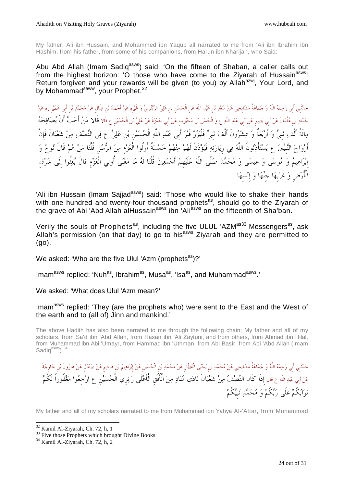My father, Ali ibn Hussain, and Mohammed ibn Yaqub all narrated to me from 'Ali ibn Ibrahim ibn Hashim, from his father, from some of his companions, from Harun ibn Kharijah, who Said:

Abu Abd Allah (Imam Sadiq<sup>asws</sup>) said: 'On the fifteen of Shaban, a caller calls out from the highest horizon: 'O those who have come to the Zivarah of Hussain<sup>asws</sup>! Return forgiven and your rewards will be given (to you) by Allah<sup>azwj</sup>, Your Lord, and by Mohammad<sup>saww</sup>, your Prophet.<sup>32</sup>

حَدَّنْنِي أبي رَحِمَهُ اللَّهُ وَ حَمَاعَةُ مَشَايِخِي عَنْ سَعْدِ بْنِ عَبْدِ اللَّهِ عَن الْحَسَنِ بْنِ عَلِيٍّ الزَّيْتُونِيِّ وَ عَيْرِهِ عَنْ أَحْمَدَ بْنِ عَبْدِ رِه عَنْ حَمَّادِ بْنِ عُثْمَانَ عَنْ أَبِي بَصِيرٍ عَنْ أَبِي عَبْدِ اللَّهِ ع وَ الْحَسَنِ بْنِ مَحْبُوبٍ عَنْ أَبِي حَمْزَةَ عَنْ عَلِيٍّ بْنِ الْحُسَيْنِ عِ قَالا **قَالا مَنْ أَحَبَّ أَنْ يُصَافِحَهُ** مِائَةُ أَلْف نَبيٍّ وَ أَرْبَعَةٌ وَ عِشْرُونَ أَلْفَ نَبيٍّ فَلْيَزُرْ قَبْرَ أَبي عَبْدِ اللَّهِ الْحُسَيْنِ بْنِ عَلِيٍّ عِ فِي النِّصْفِ مِنْ شَعْبَانَ فَإِنَّ أَرْوَاحَ النَّبِيِّينَ عِ يَسْتَأْذِنُونَ اللَّهَ فِي زِيَارَتِهِ فَيُؤْذَنُ لَهُمْ مِنْهُمْ خَمْسَةٌ أُولُوا الْعَزْمِ مِنَ الرُّسُلِ قُلْنَا مَنْ هُمْ قَالَ نُوحٌ وَ إِبْرَاهِيمُ وَ مُوسَى وَ عِيسَى وَ مُحَمَّدٌ صَلَّى اللَّهُ عَلَيْهِمْ أَجْمَعِينَ قُلْنَا لَهُ مَا مَعْنَى أُولِي الْعَزْمِ قَالَ بُعِثُوا إِلَى شَرْق الْأَرْضِ وَ غَرْبِهَا جَنَّهَا وَ إِنْسهَا

'Ali ibn Hussain (Imam Sajjad<sup>asws</sup>) said: 'Those who would like to shake their hands with one hundred and twenty-four thousand prophets<sup>as</sup>, should go to the Ziyarah of the grave of Abi 'Abd Allah alHussain<sup>asws</sup> ibn <sup>'</sup>Ali<sup>asws</sup> on the fifteenth of Sha'ban.

Verily the souls of Prophets<sup>as</sup>, including the five ULUL 'AZM<sup>as33</sup> Messengers<sup>as</sup>, ask Allah's permission (on that day) to go to his<sup>asws</sup> Ziyarah and they are permitted to (go).

We asked: 'Who are the five Ulul 'Azm (prophets $a^{as}$ )?'

Imam<sup>asws</sup> replied: 'Nuh<sup>as</sup>, Ibrahim<sup>as</sup>, Musa<sup>as</sup>, 'Isa<sup>as</sup>, and Muhammad<sup>asws</sup>.'

We asked: 'What does Ulul 'Azm mean?'

Imam<sup>asws</sup> replied: 'They (are the prophets who) were sent to the East and the West of the earth and to (all of) Jinn and mankind.'

The above Hadith has also been narrated to me through the following chain; My father and all of my scholars, from Sa'd ibn 'Abd Allah, from Hasan ibn 'Ali Zaytuni, and from others, from Ahmad ibn Hilal, from Muhammad ibn Abi 'Umayr, from Hammad ibn 'Uthman, from Abi Basir, from Abi 'Abd Allah (Imam Sadiq<sup>asws</sup>).<sup>34</sup>

حَدَّنَنِي أَبِي رَحِمَهُ اللَّهُ وَ حَمَاعَةُ مَشَايِخِي عَنْ مُحَمَّدِ بْن يَحْيَى الْعَطَّارِ عَنْ مُحَمَّدِ بْن الْحُسَيْن عَنْ إبراهِيمَ بْن هائشِم عَنْ صَنْدلَلٍ عَنْ مُحَدِّدِهَ عَنْ أبي عَبْدِاللَّهِ ع قَالَ إِذَا كَانَ النِّصْفُ مِنْ شَعْبَانَ نَادَى مُنَادٍ مِنَ الْأُفُقِ الْأَعْلَى زَائِرِي الْحُسَيْنِ عِ ارْجعُوا مَغْفُوراً لَكُمْ نَوَابُكُمْ عَلَى رَبِّكُمْ وَ مُحَمَّدٍ نَبِيِّكُمْ

My father and all of my scholars narrated to me from Muhammad ibn Yahya AI-'Attar, from Muhammad

<sup>-</sup><sup>32</sup> Kamil Al-Ziyarah, Ch. 72, h, 1

<sup>&</sup>lt;sup>33</sup> Five those Prophets which brought Divine Books

<sup>34</sup> Kamil Al-Ziyarah, Ch. 72, h, 2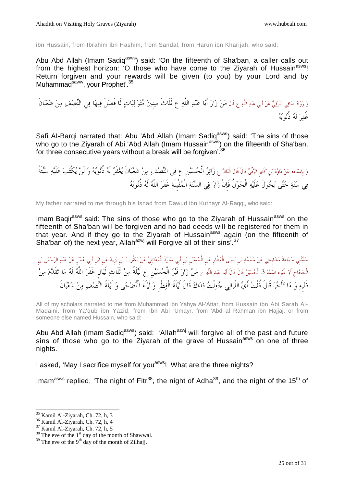ibn Hussain, from Ibrahim ibn Hashim, from Sandal, from Harun ibn Kharijah, who said:

Abu Abd Allah (Imam Sadiq<sup>asws</sup>) said: 'On the fifteenth of Sha'ban, a caller calls out from the highest horizon: 'O those who have come to the Ziyarah of Hussain<sup>asws</sup>! Return forgiven and your rewards will be given (to you) by your Lord and by Muhammad<sup>saww</sup>, your Prophet'.<sup>35</sup>

وَ رَوَاهُ صَافِي الْبَرْقِيُّ عَنْ أَبِي عَبْدِ اللَّهِ ع قَالَ مَنْ زَارَ أَبَا عَبْدِ اللَّهِ ع ثَلَاثَ سِنينَ مُتَوَالِيَاتِ لَا فَصْلَ فِيهَا فِي النِّصْف ِ مِنْ شَعْبَانَ مُ مرکز معرف<br>غُفر که دُنوبه

Safi Al-Barqi narrated that: Abu 'Abd Allah (Imam Sadiq<sup>asws</sup>) said: 'The sins of those who go to the Ziyarah of Abi 'Abd Allah (Imam Hussain<sup>asws</sup>) on the fifteenth of Sha'ban, for three consecutive years without a break will be forgiven'.<sup>36</sup>

وَ بِإِسْنَادِهِ عَنْ دَاوُدَ بْنِ كَثِيرِ الرَّقْبِيِّ قَالَ قَالَ الْبَاقِرُ عِ زَائِرُ الْحُسَيْنِ عِ فِي النِّصْف ِمِنْ شَعْبَانَ يُغْفَرُ لَهُ دُّوُبُهُ وَ لَنْ يُكْتَبَ عَلَيْهِ سَيِّئَةٌ فِي سَنَةٍ حَتَّى يَحُولَ عَلَيْهِ الْحَوْلُ فَإِنْ زَارَ فِي السَّنَةِ الْمُقْبِلَةِ غَفَرَ اللَّهُ لَهُ ذُنُوبَهُ

My father narrated to me through his Isnad from Dawud ibn Kuthayr Al-Raqqi, who said:

Imam Bagir<sup>asws</sup> said: The sins of those who go to the Ziyarah of Hussain<sup>asws</sup> on the fifteenth of Sha'ban will be forgiven and no bad deeds will be registered for them in that year. And if they go to the Ziyarah of Hussain<sup>asws</sup> again (on the fifteenth of Sha'ban of) the next year, Allah<sup>azwj</sup> will Forgive all of their sins<sup>'.37</sup>

حَدَّنْني حَمَاعَةُ مَشَايِخِي عَنْ مُحَمَّدِ بْن يَحْيَى الْعَطَّارِ عَن الْحُسَيْنِ بْنِ أَبِي سَارَةَ الْمَدَائِنِيٍّ عَنْ يَعْقُوبَ بْنِ يَزِيدَ عَنِ الْجَمْنِ عَبْدِ الرَّحْمَنِ بْن الْحَجَّاجِ أَوْ غَيْرِهِ اسْمُهُ 3 الْحُسَيْنُ قَالَ قَالَ أَبُو عَبْدِ اللَّهِ ع مَنْ زَارَ قَبْرَ الْحُسَيْنِ عِ لَيْلَةً مِنْ تَلَاثِ لَيَال غَفَرَ اللَّهُ لَهُ مَا تَقَدَّمَ مِنْ ذَنْبِهِ وَ مَا تَأْخَرَ قَالَ قُلْتُ أَيَّ اللَّيَالِي جُعِلْتُ فِدَاكَ قَالَ لَيْلَةَ الْفِطْرِ وَ لَيْلَةَ الْأَضْحَى وَ لَيْلَةَ النِّصْف مِنْ شَعْبَانَ

All of my scholars narrated to me from Muhammad ibn Yahya Al-'Attar, from Hussain ibn Abi Sarah Al-Madaini, from Ya'qub ibn Yazid, from Ibn Abi 'Umayr, from 'Abd al Rahman ibn Hajjaj, or from someone else named Hussain, who said:

Abu Abd Allah (Imam Sadiq<sup>asws</sup>) said: 'Allah<sup>azwj</sup> will forgive all of the past and future sins of those who go to the Ziyarah of the grave of Hussain<sup>asws</sup> on one of three nights.

I asked, 'May I sacrifice myself for you<sup>asws</sup>! What are the three nights?

Imam<sup>asws</sup> replied, 'The night of Fitr<sup>38</sup>, the night of Adha<sup>39</sup>, and the night of the 15<sup>th</sup> of

l <sup>35</sup> Kamil Al-Ziyarah, Ch. 72, h, 3

<sup>36</sup> Kamil Al-Ziyarah, Ch. 72, h, 4

 $37$  Kamil Al-Ziyarah, Ch. 72, h, 5

 $38$  The eve of the  $1<sup>st</sup>$  day of the month of Shawwal.

 $39$  The eve of the 9<sup>th</sup> day of the month of Zilhajj.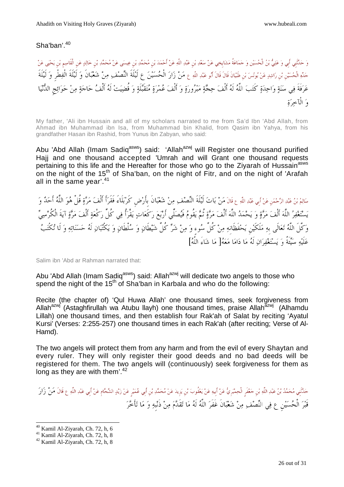# Sha'ban'.<sup>40</sup>

وَ حَدَّنْنِي أَبِي وَ عَلِيُّ بْنُ الْحُسَيْنِ وَ حَمَاعَةُ مَشايِخِي عَنْ سَعْدِ بْن عَبْدِ اللَّهِ عَنْ أَحْمَدَ بْن مُحَمَّدٍ بْن عَبْدِ اللَّه عَن أَحْمَدَ بِّن مُحَمَّدٍ بْن مُحمَّدِ بْن مُحمَّدِ بْن عَنْ مَنْ الْقَا جَدَّهِ الْحُسَيْنِ بْنِ رَاشِدٍ عَنْ يُونُسَ بْنِ ظَبْيَانَ قَالَ أَبُو عَبْدِ اللَّهِ ع **مَنْ زَارَ الْحُسَيْنَ عِ لَيْلَةَ النِّص**ْف ِ مِنْ نَظِيفَةِ الْفَطْرِ وَ لَيْلَةَ عَرَفَةَ فِي سَنَةٍ وَاحِدَةٍ كَتَبَ اللَّهُ لَهُ أَلْفَ حِجَّةٍ مَبْرُورَةٍ وَ أَلْفَ عُمْرَةٍ مُتَقَبَّلَةٍ وَ قُضِيَتْ لَهُ أَلْفُ حَاجَةٍ مِنْ حَوَائِجِ الدُّنْيَا والْآخرة

My father, 'Ali ibn Hussain and all of my scholars narrated to me from Sa'd Ibn 'Abd Allah, from Ahmad ibn Muhammad ibn Isa, from Muhammad bin Khalid, from Qasim ibn Yahya, from his grandfather Hasan ibn Rashid, from Yunus ibn Zabyan, who said:

Abu 'Abd Allah (Imam Sadiq<sup>asws</sup>) said: 'Allah<sup>azwj</sup> will Register one thousand purified Hajj and one thousand accepted 'Umrah and will Grant one thousand requests pertaining to this life and the Hereafter for those who go to the Ziyarah of Hussain<sup>asws</sup> on the night of the 15<sup>th</sup> of Sha'ban, on the night of Fitr, and on the night of 'Arafah all in the same year'. $41$ 

سَالِمُ بْنُ عَبْدِالرَّحْمَنِ عَنْ أَبِي عَبْدِاللَّهِ ع قَالَ مَنْ بَاتَ لَيْلَةَ النِّصْف ِمِنْ شَعْبَانَ بأَرْض كَرْبَلَاءَ فَقَرَأَ أَلْفَ مَرَّةٍ قُلْ هُوَ اللَّهُ أَحَدٌ وَ يَسْتَغْفِرُ اللَّهَ أَلْفَ مَرَّةٍ وَ يَحْمَدُ اللَّهَ أَلْفَ مَرَّةٍ نُمَّ يَقُومُ فَيُصَلِّي أَرْبَعَ رَكَعَاتٍ يَقْرَأُ فِي كُلِّ رَكْعَةٍ أَلْفَ مَرَّةٍ آيَةَ الْكُرْسِيِّ وَكَّلَ اللَّهُ تَعَالَى بهِ مَلَكَيْن يَحْفَظَانهِ مِنْ كُلِّ سُوءٍ وَ مِنْ شَرِّ كُلِّ شَيْطَانٍ وَ سُلْطَانٍ وَ يَكْتُبَانِ لَهُ حَسَنَاتِهِ وَ لَا تُكْتَبُ عَلَيْهِ سَيِّئَةٌ وَيَسْتَغْفِيَرَانِ لَهُ مَا دَامَا مَعَهُ[ مَا شَاءَ اللَّهُ]

Salim ibn 'Abd ar Rahman narrated that:

Abu 'Abd Allah (Imam Sadiq<sup>asws</sup>) said: Allah<sup>azwj</sup> will dedicate two angels to those who spend the night of the  $15<sup>th</sup>$  of Sha'ban in Karbala and who do the following:

Recite (the chapter of) 'Qul Huwa Allah' one thousand times, seek forgiveness from Allah<sup>azwj</sup> (Astaghfirullah wa Atubu llayh) one thousand times, praise Allah<sup>azwj</sup> (Alhamdu Lillah) one thousand times, and then establish four Rak'ah of Salat by reciting 'Ayatul Kursi' (Verses: 2:255-257) one thousand times in each Rak'ah (after reciting; Verse of Al-Hamd).

The two angels will protect them from any harm and from the evil of every Shaytan and every ruler. They will only register their good deeds and no bad deeds will be registered for them. The two angels will (continuously) seek forgiveness for them as long as they are with them'.<sup>42</sup>

حَدَّنَنِي مُحَمَّدُ بْنُ عَبْدِ اللَّهِ بْنِ حَعْفَرِ الْحِمْيَرِيُّ عَنْ بَعْقُوبِ بِّلْ يَوْيدَ عَنْ يَعْقُوبَ بِّن يَوْيدَ عَنْ مُحَمَّدِ بْنِ أَبِي عُمَيْرِ عَنْ زَيْدٍ الشَّحَامِ عَنْ أَبِي عَبْدِ اللَّهِ ع قَالَ مَن قَبْرَ الْحُسَيْنِ ع فِي النِّصْفِ مِنْ شَعْبَانَ غَفَرَ اللَّهُ لَهُ مَا تَقَلَّمَ مِنْ ذَنْبِهِ وَ مَا تَأَخَّرَ

<sup>-</sup> $40$  Kamil Al-Ziyarah, Ch. 72, h, 6

<sup>41</sup> Kamil Al-Ziyarah, Ch. 72, h, 8

<sup>42</sup> Kamil Al-Ziyarah, Ch. 72, h, 8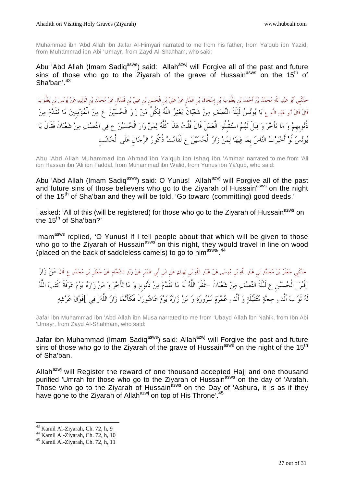Muhammad ibn 'Abd Allah ibn Ja'far Al-Himyari narrated to me from his father, from Ya'qub ibn Yazid, from Muhammad ibn Abi 'Umayr, from Zayd Al-Shahham, who said:

Abu 'Abd Allah (Imam Sadiq<sup>asws</sup>) said: Allah<sup>azwj</sup> will Forgive all of the past and future  $\frac{1}{2}$  sins of those who go to the Ziyarah of the grave of Hussain<sup>asws</sup> on the 15<sup>th</sup> of Sha'ban'. $43$ 

حَدَّنَني أَبُو عَبْدِ اللَّهِ مُحَمَّدُ بْنُ أَحْمَدَ بْنِ يَعْقُوبَ بْنِ إِسْحَاقَ بْنِ عَمَّارِ عَنْ عَلِيٍّ بْنِ الْحَسَنِ بْنِ عَلِيٍّ مْنِ فَلِي مَنْ عَلِيٍّ مِنْ عَلِيٍّ مِنْ عَلِيٍّ مَنْ فَلِيٍّ مَنْ فَلِي مُنْ فَل قَالَ قَالَ أَبُو عَبْدِ اللَّهِ عِ يَا يُونُسُ لَيْلَةَ النِّصْفَ مِنْ شَعْبَانَ يَغْفِرُ اللَّهُ لِكُلِّ مَنْ زَارَ الْحُسَيْنَ عِ مِنَ الْمُؤْمِنِينَ مَا تَقَدَّمَ مِنْ دُّنوبِهِمْ وَ مَا تَأْخَرَ وَ قِيلَ لَهُمُ اسْتَقْبِلُوا الْعَمَلَ قَالَ قُلْتُ هَذَا كُلُّهُ لِمَنْ زَارَ الْحُسَيْنَ ع فِي النِّصْف ِمِنْ شَعْبَانَ فَقَالَ يَا يُونُسُ لَوْ أَخْبَرْتُ النَّاسَ بِمَا فِيهَا لِمَنْ زَارَ الْحُسَيْنَ عِ لَقَامَتْ ذُكُورُ الرِّجَالِ عَلَى الْخُشُب

Abu 'Abd Allah Muhammad ibn Ahmad ibn Ya'qub ibn Ishaq ibn 'Ammar narrated to me from 'Ali ibn Hassan ibn 'Ali ibn Faddal, from Muhammad ibn Walid, from Yunus ibn Ya'qub, who said:

Abu 'Abd Allah (Imam Sadiq<sup>asws</sup>) said: O Yunus! Allah<sup>azwj</sup> will Forgive all of the past and future sins of those believers who go to the Ziyarah of Hussain<sup>asws</sup> on the night of the 15<sup>th</sup> of Sha'ban and they will be told, 'Go toward (committing) good deeds.'

I asked: 'All of this (will be registered) for those who go to the Ziyarah of Hussain<sup>asws</sup> on the 15<sup>th</sup> of Sha'ban?'

Imam<sup>asws</sup> replied, 'O Yunus! If I tell people about that which will be given to those who go to the Ziyarah of Hussain<sup>asws</sup> on this night, they would travel in line on wood (placed on the back of saddleless camels) to go to him<sup>asws, 44</sup>

حَلَنَنِي حَعْفَرُ بْنُ مُحَمَّدِ بْن عَبْدِ اللَّهِ بْنِ مُوسَى عَنْ عُبَيْدِ اللَّهِ بْنِ نَهيكٍ عَن ابْنِ أَبِي عُمَيْر عَنْ زَيْدِ الشَّحَّامِ عَنْ حَعْفَر بْنِ مُحَمَّدٍ ع قَالَ مَنْ زَارَ [قَبر[ الْحسينِ ع لَةَلَي النصف من شعبانَ -غَفَر اللَّه لَه ما تقَدم من ذُنوبِه و ما تأَخر و من زاره يوم عرفَةَ كَتب اللَّه لَهُ تَوَابَ أَلْفِ حِجَّةٍ مُتَقَبَّلَةٍ وَ أَلْفِ عُمْرَةٍ مَبْرُورَةٍ وَ مَنْ زَارَهُ يَوْمَ عَاشُورَاءَ فَكَأَنَّمَا زَارَ اللَّهَ[ فِي ]فَوْق عَرْشِهِ

Jafar ibn Muhammad ibn 'Abd Allah ibn Musa narrated to me from 'Ubayd Allah lbn Nahik, from Ibn Abi 'Umayr, from Zayd Al-Shahham, who said:

Jafar ibn Muhammad (Imam Sadiq<sup>asws</sup>) said: Allah<sup>azwj</sup> will Forgive the past and future sins of those who go to the Ziyarah of the grave of Hussain<sup>asws</sup> on the night of the  $15<sup>th</sup>$ of Sha'ban.

Allah<sup>azwj</sup> will Register the reward of one thousand accepted Hajj and one thousand purified 'Umrah for those who go to the Ziyarah of Hussain<sup>asws</sup> on the day of 'Arafah. Those who go to the Ziyarah of Hussain<sup>asws</sup> on the Day of 'Ashura, it is as if they have gone to the Ziyarah of Allah<sup>azwj</sup> on top of His Throne'.<sup>45</sup>

<sup>-</sup><sup>43</sup> Kamil Al-Ziyarah, Ch. 72, h, 9

<sup>44</sup> Kamil Al-Ziyarah, Ch. 72, h, 10

<sup>45</sup> Kamil Al-Ziyarah, Ch. 72, h, 11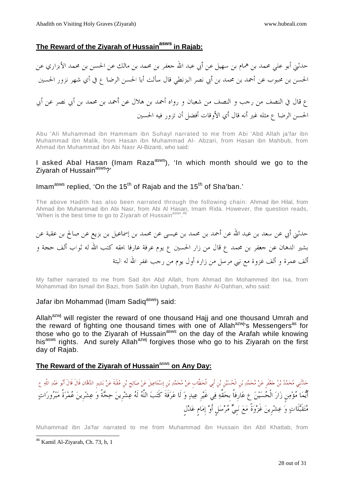### **The Reward of the Ziyarah of Hussainasws in Rajab:**

حدثني أبو علي محمد بن همام بن سهيل عن أبي عبد االله جعفر بن محمد بن مالك عن الحسن بن محمد الأبزاري عن الحسن بن محبوب عن أحمد بن محمد بن أبي نصر البزنطي قال سألت أبا الحسن الرضا ع في أي شهر نزور الحسين ع قال في النصف من رجب و النصف من شعبان و رواه أحمد بن هلال عن أحمد بن محمد بن أبي نصر عن أبي الحسن الرضا ع مثله غير أنه قال أي الأوقات أفضل أن تزور فيه الحسين

Abu 'Ali Muhammad ibn Hammam ibn Suhayl narrated to me from Abi 'Abd Allah ja'far ibn Muhammad ibn Malik, from Hasan ibn Muhammad Al- Abzari, from Hasan ibn Mahbub, from Ahmad ibn Muhammad ibn Abi Nasr Al-Bizanti, who said:

#### I asked Abal Hasan (Imam Raza<sup>asws</sup>), 'In which month should we go to the Ziyarah of Hussain<sup>asws</sup>?'

# Imam<sup>asws</sup> replied, 'On the 15<sup>th</sup> of Rajab and the 15<sup>th</sup> of Sha'ban.'

The above Hadith has also been narrated through the following chain: Ahmad ibn Hilal, from Ahmad ibn Muhammad ibn Abi Nasr, from Abi Al Hasan, Imam Rida. However, the question reads, 'When is the best time to go to Ziyarah of Hussain<sup>asws 46</sup>

# حدثني أبي عن سعد بن عبد االله عن أحمد بن محمد بن عيسى عن محمد بن إسماعيل بن بزيع عن صالح بن عقبة عن بشير الدهان عن جعفر بن محمد ع قال من زار الحسين ع يوم عرفة عارفا بحقه كتب االله له ثواب ألف حجة و ألف عمرة و ألف غزوة مع نبي مرسل من زاره أول يوم من رجب غفر االله له البتة

My father narrated to me from Sad ibn Abd Allah, from Ahmad ibn Mohammed ibn Isa, from Mohammad ibn Ismail ibn Bazi, from Salih ibn Uqbah, from Bashir Al-Dahhan, who said:

#### Jafar ibn Mohammad (Imam Sadig<sup>asws</sup>) said:

Allah<sup>azwj</sup> will register the reward of one thousand Hajj and one thousand Umrah and the reward of fighting one thousand times with one of Allah<sup>azwj</sup>'s Messengers<sup>as</sup> for those who go to the Ziyarah of Hussain<sup>asws</sup> on the day of the Arafah while knowing his<sup>asws</sup> rights. And surely Allah<sup>azwj</sup> forgives those who go to his Ziyarah on the first day of Rajab.

#### **The Reward of the Ziyarah of Hussain**asws **on Any Day:**

حَدَّنَنِي مُحَمَّدُ بْنُ حَعْفَرٍ عَنْ مُحَمَّدِ بْنِ الْحُسَيْنِ بْنِ أَبِي الْخطَّابِ عَنْ مُحَمَّدٍ بْنِ إِسْمَاعِيلَ عَنْ صَالِح بْنِ عُقْبَةَ عَنْ بَشِيرِ الدَّهَّانِ قَالَ قَالَ أَبُو عَبْدِ اللَّهِ ع أَيْما مُؤْمِن زَارَ الْحُسَيْنَ ع عَارِفاً بِحَقِّهِ فِي غَيْرِ عِيدٍ وَ لَا عَرَفَةَ كَتَبَ اللَّهُ لَهُ عِشْرِينَ حِجَّةً وَ عِشْرِينَ عُمْرَةً مَبْرُورَاتٍ مُتَقَبَّلَاتٍ وَ عِشْرِينَ غَزْوَةً مَعَ نَبِيٍّ مُرْسَلٍ أَوْ إِمَامٍ عَدْلٍ

Muhammad ibn Ja'far narrated to me from Muhammad ibn Hussain ibn Abil Khattab, from

<sup>46</sup> Kamil Al-Ziyarah, Ch. 73, h, 1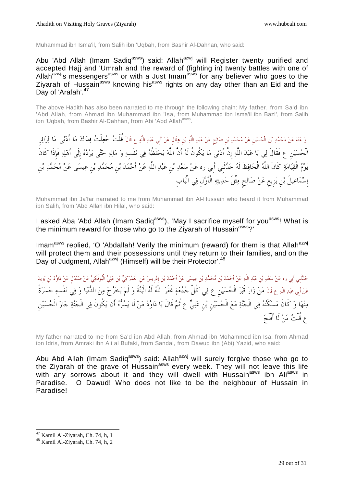Muhammad ibn Isma'il, from Salih ibn 'Uqbah, from Bashir Al-Dahhan, who said:

Abu 'Abd Allah (Imam Sadiq<sup>asws</sup>) said: Allah<sup>azwj</sup> will Register twenty purified and accepted Hajj and 'Umrah and the reward of (fighting in) twenty battles with one of Allah<sup>azwj</sup>'s messengers<sup>asws</sup> or with a Just Imam<sup>asws</sup> for any believer who goes to the Ziyarah of Hussain<sup>asws</sup> knowing his<sup>asws</sup> rights on any day other than an Eid and the Day of 'Arafah'.<sup>47</sup>

The above Hadith has also been narrated to me through the following chain: My father, from Sa'd ibn 'Abd Allah, from Ahmad ibn Muhammad ibn 'Isa, from Muhammad ibn Isma'il ibn BazI', from Salih ibn 'Uqbah, from Bashir Al-Dahhan, from Abi 'Abd Allah<sup>asws</sup>.

وَ عَنْهُ عَنْ مُحَمَّدِ بْنِ الْحُسَيْنِ عَنْ مُحَمَّدِ بْنِ صَالِحٍ عَنْ عَبْدِ اللَّهِ بْنِ هِلَالٍ عَنْ أَبِي عَبْدِ اللَّهِ عِ قَالَ قُلْتُ ۚ جُعِلْتُ فِلَااكَ مَا أَدْنَى مَا لِزَائِرِ الْحُسَيْنِ ع فَقَالَ لِي يَا عَبْدَ اللَّهِ إِنَّ أَدْنَى مَا يَكُونُ لَهُ أَنَّ اللَّهَ يَحْفَظُهُ فِي نَفْسهِ وَ مَالِهِ حَتَّى يَرُدَّهُ إِلَى أَهْلِهِ فَإِذَا كَانَ يَوْمُ الْقِيَامَةِ كَانَ اللَّهُ الْحَافِظَ لَهُ حَلَّتَني أَبِي ره عَنْ سَعْدِ بْن عَبْدِ اللَّهِ عَنْ أَحْمَدَ بْن مُحَمَّدِ بْن عِيسَى عَنْ مُحَمَّدِ بْن إِسْمَاعِيلَ بْنِ بَزِيعٍ عَنْ صَالِحٍ مِثْلَ حَدِيثِهِ الْأَوَّلِ فِي الْبَابِ

Muhammad ibn Ja'far narrated to me from Muhammad ibn Al-Hussain who heard it from Muhammad ibn Salih, from 'Abd Allah ibn Hilal, who said:

I asked Aba 'Abd Allah (Imam Sadiq<sup>asws</sup>), 'May I sacrifice myself for you<sup>asws</sup>! What is the minimum reward for those who go to the Ziyarah of Hussain<sup>asws</sup>?'

Imam<sup>asws</sup> replied, 'O 'Abdallah! Verily the minimum (reward) for them is that Allah<sup>azwj</sup> will protect them and their possessions until they return to their families, and on the Day of Judgment, Allah<sup>azwj</sup> (Himself) will be their Protector'.<sup>48</sup>

حَدَّنْنِي أَبي ره عَنْ سَعْدِ بْن عَبْدِ اللَّهِ عَنْ أَحْمَدَ بْن مُحَمَّدِ بْن عِيسَى عَنْ أَحْمَدَ بْن إدريسَ عَن الْعَمْرَكِيِّ بْن عَلِيٍّ الْبُوفَكِيِّ عَنْ صَنْدَل عَنْ دَاوُدَ بْن يَزيدَ عَنْ أبي عَبْدِ اللَّهِ ع قَالَ مَنْ زَارَ قَبْرَ الْحُسَيْنِ ع فِي كُلِّ جُمُعَةٍ غَفَرَ اللَّهُ لَهُ الْبَتَّةَ وَ لَمْ يَخْرُجْ مِنَ الدُّنْيَا وَ فِي نَفْسهِ حَسْرَةٌ مِنْهَا وَ كَانَ مَسْكَنُهُ فِي الْجَنَّةِ مَعَ الْحُسَيْنِ بْنِ عَلِيٍّ عِ ثُمَّ قَالَ يَا دَاوُدُ مَنْ لَا يَسُرُّهُ أَنْ يَكُونَ فِي الْجَنَّةِ جَارَ الْحُسَيْنِ ع قُلْتُ مَنْ لَا أَفْلَحَ

My father narrated to me from Sa'd ibn Abd Allah, from Ahmad ibn Mohammed ibn Isa, from Ahmad ibn Idris, from Amraki ibn Ali al Bufaki, from Sandal, from Dawud ibn (Abi) Yazid, who said:

Abu Abd Allah (Imam Sadiq<sup>asws</sup>) said: Allah<sup>azwj</sup> will surely forgive those who go to the Ziyarah of the grave of Hussain<sup>asws</sup> every week. They will not leave this life with any sorrows about it and they will dwell with Hussain<sup>asws</sup> ibn Ali<sup>asws</sup> in Paradise. O Dawud! Who does not like to be the neighbour of Hussain in Paradise!

<sup>&</sup>lt;sup>47</sup> Kamil Al-Ziyarah, Ch. 74, h, 1

<sup>48</sup> Kamil Al-Ziyarah, Ch. 74, h, 2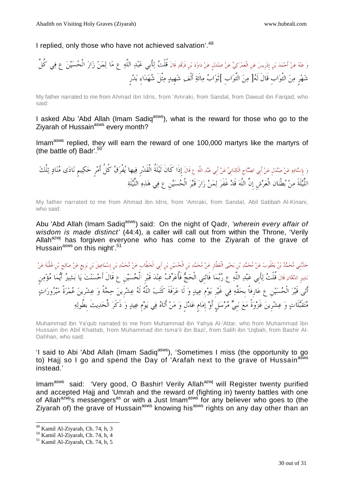I replied, only those who have not achieved salvation'.<sup>49</sup>

وعنهعنأَحمد نِب إِدرِيسعنِالْعمركيعنصندلٍعنداودبنِفَرقَد قَالَقُلْتلأَبِيعبداللَّهعمالمنزارالْحسينعفيكُلِّ شهرٍمنالثَّوابِقَالَلَهمن الثَّوابِثَوابمائَةأَلْفشهِيدمثْلَشهداءِدرٍب

My father narrated to me from Ahmad ibn Idris, from 'Amraki, from Sandal, from Dawud ibn Farqad, who said:

I asked Abu 'Abd Allah (Imam Sadiq<sup>asws</sup>), what is the reward for those who go to the Ziyarah of Hussain<sup>asws</sup> every month?

Imam<sup>asws</sup> replied, they will earn the reward of one 100,000 martyrs like the martyrs of (the battle of) Badr'.<sup>50</sup>

وَ بِإِسْنَادِهِ عَنْ صَنْدَلٍ عَنْ أَبِي الصَّبَاحِ الْكِنَانِيِّ عَنْ أَبِي عَبْدِ اللَّهِ ع قَالَ إِذَا كَانَ لَيْلَةُ الْقَدْرِ فِيها يُفْرَقُ كُلُّ أَمْرِ حَكِيمٍ نَادَى مُنَادٍ تِلْكَ اللَّيْلَةَ مِنْ بُطْنَانِ الْعَرْشِ إِنَّ اللَّهَ قَدْ غَفَرَ لِمَنْ زَارَ قَبْرَ الْحُسَيْنِ عِ فِي هَذِهِ اللَّيْلَةِ

My father narrated to me from Ahmad ibn Idris, from 'Amraki, from Sandal, Abil Sabbah Al-Kinani, who said:

Abu 'Abd Allah (Imam Sadiq<sup>asws</sup>) said: On the night of Qadr, 'wherein every affair of wisdom is made distinct' (44:4), a caller will call out from within the Throne, 'Verily Allah $^{azwj}$  has forgiven everyone who has come to the Ziyarah of the grave of Hussain<sup>asws</sup> on this night'.<sup>51</sup>

حَلَّتُنِي مُحَمَّدُ بْنُ يَعْقُوبَ عَنْ مُحَمَّدِ بْن يَحْيَى الْعَطَّارِ عَنْ مُحَمَّدِ بْن الْحُسَيْنِ بْن أبي الْخطَّاب عَنْ مُحَمَّدِ بْن يَرْيع عَنْ صَالِح بْن عُقْبَةَ عَنْ بَشِيرِ الدَّهَّانِ قَالَ قُلْتُ لِأَبِي عَبْدِ اللَّهِ ع رُبَّمَا فَاتَني الْحَجُّ فَأُعَرِّفُ عِنْدَ قَبْرِ الْحُسَيْنِ ع قَالَ أَحْسَنْتَ يَا بَشِيرُ أَيُّمَا مُؤْمِن أَتَى قَبْرَ الْحُسَيْنِ ع عَارِفاً بِحَقِّهِ فِي غَيْرِ يَوْم عِيدٍ وَ لَا عَرَفَةَ كَتَبَ اللَّهُ لَهُ عِشْرِينَ حِجَّةً وَ عِشْرِينَ عُمْرَةً مَبْرُورَاتٍ مُتَقَبَّلَاتٍ وَ عِشْرِينَ غَزْوَةً مَعَ نَبِيٍّ مُرْسَلٍ أَوْ إِمَامٍ عَدْلٍ وَ مَنْ أَتَاهُ فِي يَوْمِ عِيدٍ وَ ذَكَرَ الْحَدِيثَ بِطُولِهِ

Muhammad ibn Ya'qub narrated to me from Muhammad ibn Yahya Al-'Attar, who from Muhammad ibn Hussain ibn Abil Khattab, from Muhammad ibn Isma'il ibn Bazi', from Salih ibn 'Uqbah, from Bashir Al-Dahhan, who said:

'I said to Abi 'Abd Allah (Imam Sadiq<sup>asws</sup>), 'Sometimes I miss (the opportunity to go to) Hajj so I go and spend the Day of 'Arafah next to the grave of Hussain<sup>asws</sup> instead.'

Imam<sup>asws</sup> said: 'Very good, O Bashir! Verily Allah<sup>azwj</sup> will Register twenty purified and accepted Hajj and 'Umrah and the reward of (fighting in) twenty battles with one of Allah<sup>azwj</sup>'s messengers<sup>as</sup> or with a Just Imam<sup>asws</sup> for any believer who goes to (the Ziyarah of) the grave of Hussain<sup>asws</sup> knowing his<sup>asws</sup> rights on any day other than an

<sup>-</sup><sup>49</sup> Kamil Al-Ziyarah, Ch. 74, h, 3

<sup>50</sup> Kamil Al-Ziyarah, Ch. 74, h, 4

<sup>51</sup> Kamil Al-Ziyarah, Ch. 74, h, 5